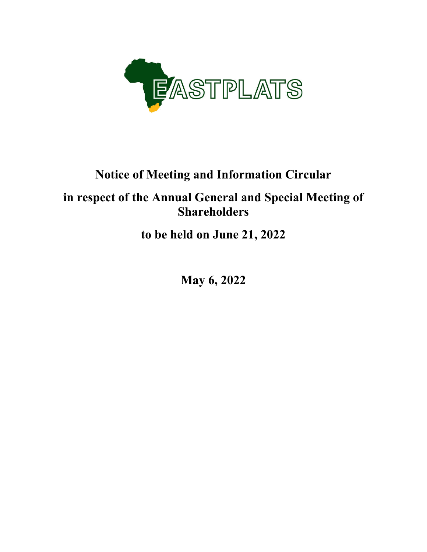

# **Notice of Meeting and Information Circular**

# **in respect of the Annual General and Special Meeting of Shareholders**

**to be held on June 21, 2022** 

**May 6, 2022**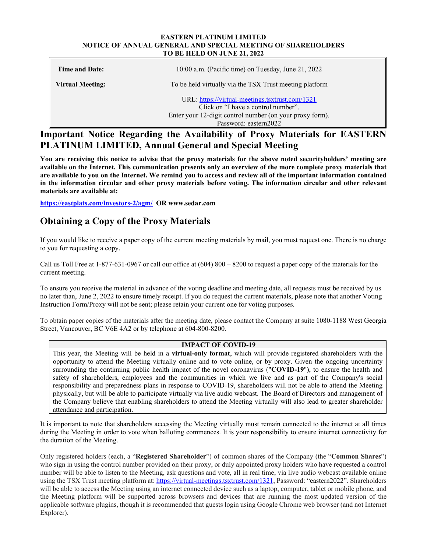#### **EASTERN PLATINUM LIMITED NOTICE OF ANNUAL GENERAL AND SPECIAL MEETING OF SHAREHOLDERS TO BE HELD ON JUNE 21, 2022**

| Time and Date:   | $10:00$ a.m. (Pacific time) on Tuesday, June 21, 2022                                                                                                                       |
|------------------|-----------------------------------------------------------------------------------------------------------------------------------------------------------------------------|
| Virtual Meeting: | To be held virtually via the TSX Trust meeting platform                                                                                                                     |
|                  | URL: https://virtual-meetings.tsxtrust.com/1321<br>Click on "I have a control number".<br>Enter your 12-digit control number (on your proxy form).<br>Password: eastern2022 |

# **Important Notice Regarding the Availability of Proxy Materials for EASTERN PLATINUM LIMITED, Annual General and Special Meeting**

**You are receiving this notice to advise that the proxy materials for the above noted securityholders' meeting are available on the Internet. This communication presents only an overview of the more complete proxy materials that are available to you on the Internet. We remind you to access and review all of the important information contained in the information circular and other proxy materials before voting. The information circular and other relevant materials are available at:** 

**https://eastplats.com/investors-2/agm/ OR www.sedar.com** 

# **Obtaining a Copy of the Proxy Materials**

If you would like to receive a paper copy of the current meeting materials by mail, you must request one. There is no charge to you for requesting a copy.

Call us Toll Free at 1-877-631-0967 or call our office at (604) 800 – 8200 to request a paper copy of the materials for the current meeting.

To ensure you receive the material in advance of the voting deadline and meeting date, all requests must be received by us no later than, June 2, 2022 to ensure timely receipt. If you do request the current materials, please note that another Voting Instruction Form/Proxy will not be sent; please retain your current one for voting purposes.

To obtain paper copies of the materials after the meeting date, please contact the Company at suite 1080-1188 West Georgia Street, Vancouver, BC V6E 4A2 or by telephone at 604-800-8200.

# **IMPACT OF COVID-19**

This year, the Meeting will be held in a **virtual-only format**, which will provide registered shareholders with the opportunity to attend the Meeting virtually online and to vote online, or by proxy. Given the ongoing uncertainty surrounding the continuing public health impact of the novel coronavirus ("**COVID-19**"), to ensure the health and safety of shareholders, employees and the communities in which we live and as part of the Company's social responsibility and preparedness plans in response to COVID-19, shareholders will not be able to attend the Meeting physically, but will be able to participate virtually via live audio webcast. The Board of Directors and management of the Company believe that enabling shareholders to attend the Meeting virtually will also lead to greater shareholder attendance and participation.

It is important to note that shareholders accessing the Meeting virtually must remain connected to the internet at all times during the Meeting in order to vote when balloting commences. It is your responsibility to ensure internet connectivity for the duration of the Meeting.

Only registered holders (each, a "**Registered Shareholder**") of common shares of the Company (the "**Common Shares**") who sign in using the control number provided on their proxy, or duly appointed proxy holders who have requested a control number will be able to listen to the Meeting, ask questions and vote, all in real time, via live audio webcast available online using the TSX Trust meeting platform at: https://virtual-meetings.tsxtrust.com/1321, Password: "eastern2022". Shareholders will be able to access the Meeting using an internet connected device such as a laptop, computer, tablet or mobile phone, and the Meeting platform will be supported across browsers and devices that are running the most updated version of the applicable software plugins, though it is recommended that guests login using Google Chrome web browser (and not Internet Explorer).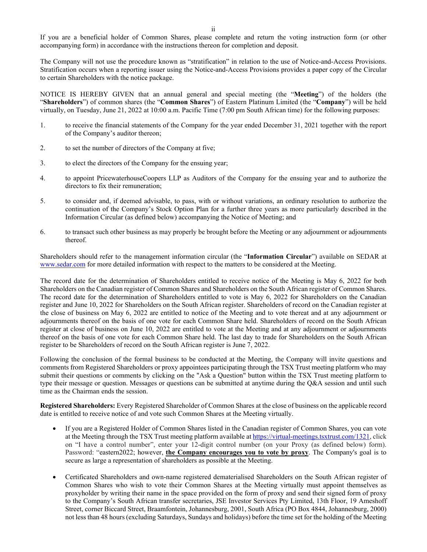If you are a beneficial holder of Common Shares, please complete and return the voting instruction form (or other accompanying form) in accordance with the instructions thereon for completion and deposit.

The Company will not use the procedure known as "stratification" in relation to the use of Notice-and-Access Provisions. Stratification occurs when a reporting issuer using the Notice-and-Access Provisions provides a paper copy of the Circular to certain Shareholders with the notice package.

NOTICE IS HEREBY GIVEN that an annual general and special meeting (the "**Meeting**") of the holders (the "**Shareholders**") of common shares (the "**Common Shares**") of Eastern Platinum Limited (the "**Company**") will be held virtually, on Tuesday, June 21, 2022 at 10:00 a.m. Pacific Time (7:00 pm South African time) for the following purposes:

- 1. to receive the financial statements of the Company for the year ended December 31, 2021 together with the report of the Company's auditor thereon;
- 2. to set the number of directors of the Company at five;
- 3. to elect the directors of the Company for the ensuing year;
- 4. to appoint PricewaterhouseCoopers LLP as Auditors of the Company for the ensuing year and to authorize the directors to fix their remuneration;
- 5. to consider and, if deemed advisable, to pass, with or without variations, an ordinary resolution to authorize the continuation of the Company's Stock Option Plan for a further three years as more particularly described in the Information Circular (as defined below) accompanying the Notice of Meeting; and
- 6. to transact such other business as may properly be brought before the Meeting or any adjournment or adjournments thereof.

Shareholders should refer to the management information circular (the "**Information Circular**") available on SEDAR at www.sedar.com for more detailed information with respect to the matters to be considered at the Meeting.

The record date for the determination of Shareholders entitled to receive notice of the Meeting is May 6, 2022 for both Shareholders on the Canadian register of Common Shares and Shareholders on the South African register of Common Shares. The record date for the determination of Shareholders entitled to vote is May 6, 2022 for Shareholders on the Canadian register and June 10, 2022 for Shareholders on the South African register. Shareholders of record on the Canadian register at the close of business on May 6, 2022 are entitled to notice of the Meeting and to vote thereat and at any adjournment or adjournments thereof on the basis of one vote for each Common Share held. Shareholders of record on the South African register at close of business on June 10, 2022 are entitled to vote at the Meeting and at any adjournment or adjournments thereof on the basis of one vote for each Common Share held. The last day to trade for Shareholders on the South African register to be Shareholders of record on the South African register is June 7, 2022.

Following the conclusion of the formal business to be conducted at the Meeting, the Company will invite questions and comments from Registered Shareholders or proxy appointees participating through the TSX Trust meeting platform who may submit their questions or comments by clicking on the "Ask a Question" button within the TSX Trust meeting platform to type their message or question. Messages or questions can be submitted at anytime during the Q&A session and until such time as the Chairman ends the session.

**Registered Shareholders:** Every Registered Shareholder of Common Shares at the close of business on the applicable record date is entitled to receive notice of and vote such Common Shares at the Meeting virtually.

- If you are a Registered Holder of Common Shares listed in the Canadian register of Common Shares, you can vote at the Meeting through the TSX Trust meeting platform available at https://virtual-meetings.tsxtrust.com/1321, click on "I have a control number", enter your 12-digit control number (on your Proxy (as defined below) form). Password: "eastern2022; however, **the Company encourages you to vote by proxy**. The Company's goal is to secure as large a representation of shareholders as possible at the Meeting.
- Certificated Shareholders and own-name registered dematerialised Shareholders on the South African register of Common Shares who wish to vote their Common Shares at the Meeting virtually must appoint themselves as proxyholder by writing their name in the space provided on the form of proxy and send their signed form of proxy to the Company's South African transfer secretaries, JSE Investor Services Pty Limited, 13th Floor, 19 Ameshoff Street, corner Biccard Street, Braamfontein, Johannesburg, 2001, South Africa (PO Box 4844, Johannesburg, 2000) not less than 48 hours (excluding Saturdays, Sundays and holidays) before the time set for the holding of the Meeting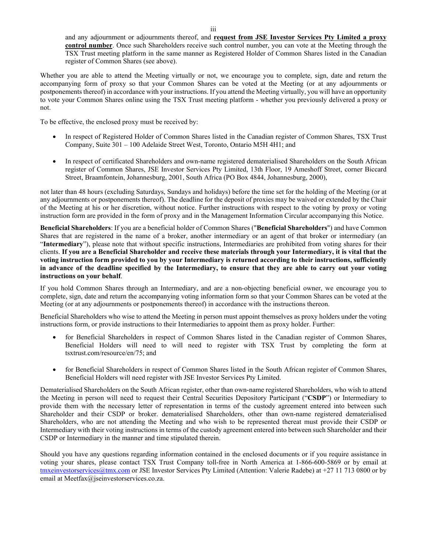and any adjournment or adjournments thereof, and **request from JSE Investor Services Pty Limited a proxy control number**. Once such Shareholders receive such control number, you can vote at the Meeting through the TSX Trust meeting platform in the same manner as Registered Holder of Common Shares listed in the Canadian register of Common Shares (see above).

Whether you are able to attend the Meeting virtually or not, we encourage you to complete, sign, date and return the accompanying form of proxy so that your Common Shares can be voted at the Meeting (or at any adjournments or postponements thereof) in accordance with your instructions. If you attend the Meeting virtually, you will have an opportunity to vote your Common Shares online using the TSX Trust meeting platform - whether you previously delivered a proxy or not.

To be effective, the enclosed proxy must be received by:

- In respect of Registered Holder of Common Shares listed in the Canadian register of Common Shares, TSX Trust Company, Suite 301 – 100 Adelaide Street West, Toronto, Ontario M5H 4H1; and
- In respect of certificated Shareholders and own-name registered dematerialised Shareholders on the South African register of Common Shares, JSE Investor Services Pty Limited, 13th Floor, 19 Ameshoff Street, corner Biccard Street, Braamfontein, Johannesburg, 2001, South Africa (PO Box 4844, Johannesburg, 2000),

not later than 48 hours (excluding Saturdays, Sundays and holidays) before the time set for the holding of the Meeting (or at any adjournments or postponements thereof). The deadline for the deposit of proxies may be waived or extended by the Chair of the Meeting at his or her discretion, without notice. Further instructions with respect to the voting by proxy or voting instruction form are provided in the form of proxy and in the Management Information Circular accompanying this Notice.

**Beneficial Shareholders**: If you are a beneficial holder of Common Shares ("**Beneficial Shareholders**") and have Common Shares that are registered in the name of a broker, another intermediary or an agent of that broker or intermediary (an "**Intermediary**"), please note that without specific instructions, Intermediaries are prohibited from voting shares for their clients. **If you are a Beneficial Shareholder and receive these materials through your Intermediary, it is vital that the voting instruction form provided to you by your Intermediary is returned according to their instructions, sufficiently in advance of the deadline specified by the Intermediary, to ensure that they are able to carry out your voting instructions on your behalf**.

If you hold Common Shares through an Intermediary, and are a non-objecting beneficial owner, we encourage you to complete, sign, date and return the accompanying voting information form so that your Common Shares can be voted at the Meeting (or at any adjournments or postponements thereof) in accordance with the instructions thereon.

Beneficial Shareholders who wise to attend the Meeting in person must appoint themselves as proxy holders under the voting instructions form, or provide instructions to their Intermediaries to appoint them as proxy holder. Further:

- for Beneficial Shareholders in respect of Common Shares listed in the Canadian register of Common Shares, Beneficial Holders will need to will need to register with TSX Trust by completing the form at tsxtrust.com/resource/en/75; and
- for Beneficial Shareholders in respect of Common Shares listed in the South African register of Common Shares, Beneficial Holders will need register with JSE Investor Services Pty Limited.

Dematerialised Shareholders on the South African register, other than own-name registered Shareholders, who wish to attend the Meeting in person will need to request their Central Securities Depository Participant ("**CSDP**") or Intermediary to provide them with the necessary letter of representation in terms of the custody agreement entered into between such Shareholder and their CSDP or broker. dematerialised Shareholders, other than own-name registered dematerialised Shareholders, who are not attending the Meeting and who wish to be represented thereat must provide their CSDP or Intermediary with their voting instructions in terms of the custody agreement entered into between such Shareholder and their CSDP or Intermediary in the manner and time stipulated therein.

Should you have any questions regarding information contained in the enclosed documents or if you require assistance in voting your shares, please contact TSX Trust Company toll-free in North America at 1-866-600-5869 or by email at tmxeinvestorservices@tmx.com or JSE Investor Services Pty Limited (Attention: Valerie Radebe) at +27 11 713 0800 or by email at Meetfax@jseinvestorservices.co.za.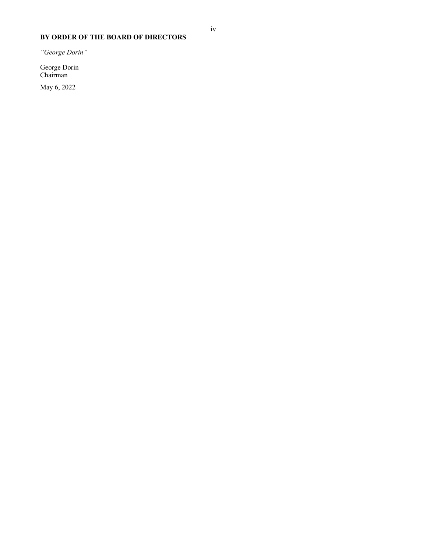# **BY ORDER OF THE BOARD OF DIRECTORS**

*"George Dorin"* 

George Dorin Chairman

May 6, 2022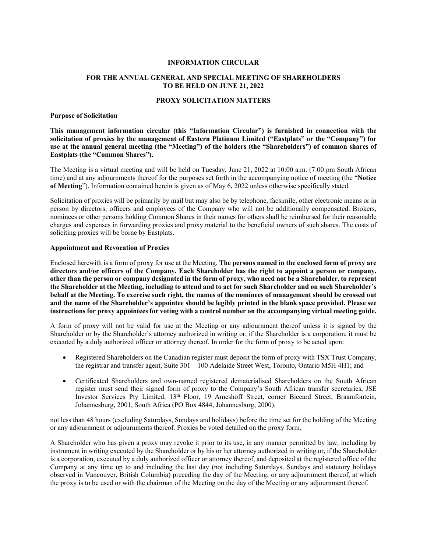#### **INFORMATION CIRCULAR**

#### **FOR THE ANNUAL GENERAL AND SPECIAL MEETING OF SHAREHOLDERS TO BE HELD ON JUNE 21, 2022**

#### **PROXY SOLICITATION MATTERS**

#### **Purpose of Solicitation**

**This management information circular (this "Information Circular") is furnished in connection with the solicitation of proxies by the management of Eastern Platinum Limited ("Eastplats" or the "Company") for use at the annual general meeting (the "Meeting") of the holders (the "Shareholders") of common shares of Eastplats (the "Common Shares").** 

The Meeting is a virtual meeting and will be held on Tuesday, June 21, 2022 at 10:00 a.m. (7:00 pm South African time) and at any adjournments thereof for the purposes set forth in the accompanying notice of meeting (the "**Notice of Meeting**"). Information contained herein is given as of May 6, 2022 unless otherwise specifically stated.

Solicitation of proxies will be primarily by mail but may also be by telephone, facsimile, other electronic means or in person by directors, officers and employees of the Company who will not be additionally compensated. Brokers, nominees or other persons holding Common Shares in their names for others shall be reimbursed for their reasonable charges and expenses in forwarding proxies and proxy material to the beneficial owners of such shares. The costs of soliciting proxies will be borne by Eastplats.

#### **Appointment and Revocation of Proxies**

Enclosed herewith is a form of proxy for use at the Meeting. **The persons named in the enclosed form of proxy are directors and/or officers of the Company. Each Shareholder has the right to appoint a person or company, other than the person or company designated in the form of proxy, who need not be a Shareholder, to represent the Shareholder at the Meeting, including to attend and to act for such Shareholder and on such Shareholder's behalf at the Meeting. To exercise such right, the names of the nominees of management should be crossed out and the name of the Shareholder's appointee should be legibly printed in the blank space provided. Please see instructions for proxy appointees for voting with a control number on the accompanying virtual meeting guide.** 

A form of proxy will not be valid for use at the Meeting or any adjournment thereof unless it is signed by the Shareholder or by the Shareholder's attorney authorized in writing or, if the Shareholder is a corporation, it must be executed by a duly authorized officer or attorney thereof. In order for the form of proxy to be acted upon:

- Registered Shareholders on the Canadian register must deposit the form of proxy with TSX Trust Company, the registrar and transfer agent, Suite 301 – 100 Adelaide Street West, Toronto, Ontario M5H 4H1; and
- Certificated Shareholders and own-named registered dematerialised Shareholders on the South African register must send their signed form of proxy to the Company's South African transfer secretaries, JSE Investor Services Pty Limited, 13<sup>th</sup> Floor, 19 Ameshoff Street, corner Biccard Street, Braamfontein, Johannesburg, 2001, South Africa (PO Box 4844, Johannesburg, 2000).

not less than 48 hours (excluding Saturdays, Sundays and holidays) before the time set for the holding of the Meeting or any adjournment or adjournments thereof. Proxies be voted detailed on the proxy form.

A Shareholder who has given a proxy may revoke it prior to its use, in any manner permitted by law, including by instrument in writing executed by the Shareholder or by his or her attorney authorized in writing or, if the Shareholder is a corporation, executed by a duly authorized officer or attorney thereof, and deposited at the registered office of the Company at any time up to and including the last day (not including Saturdays, Sundays and statutory holidays observed in Vancouver, British Columbia) preceding the day of the Meeting, or any adjournment thereof, at which the proxy is to be used or with the chairman of the Meeting on the day of the Meeting or any adjournment thereof.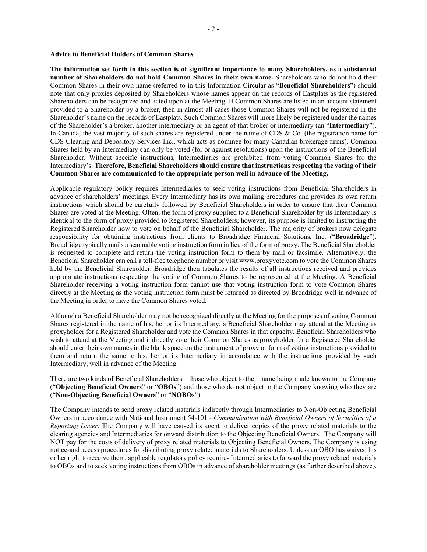#### **Advice to Beneficial Holders of Common Shares**

**The information set forth in this section is of significant importance to many Shareholders, as a substantial number of Shareholders do not hold Common Shares in their own name.** Shareholders who do not hold their Common Shares in their own name (referred to in this Information Circular as "**Beneficial Shareholders**") should note that only proxies deposited by Shareholders whose names appear on the records of Eastplats as the registered Shareholders can be recognized and acted upon at the Meeting. If Common Shares are listed in an account statement provided to a Shareholder by a broker, then in almost all cases those Common Shares will not be registered in the Shareholder's name on the records of Eastplats. Such Common Shares will more likely be registered under the names of the Shareholder's a broker, another intermediary or an agent of that broker or intermediary (an "**Intermediary**"). In Canada, the vast majority of such shares are registered under the name of CDS & Co. (the registration name for CDS Clearing and Depository Services Inc., which acts as nominee for many Canadian brokerage firms). Common Shares held by an Intermediary can only be voted (for or against resolutions) upon the instructions of the Beneficial Shareholder. Without specific instructions, Intermediaries are prohibited from voting Common Shares for the Intermediary's. **Therefore, Beneficial Shareholders should ensure that instructions respecting the voting of their Common Shares are communicated to the appropriate person well in advance of the Meeting.** 

Applicable regulatory policy requires Intermediaries to seek voting instructions from Beneficial Shareholders in advance of shareholders' meetings. Every Intermediary has its own mailing procedures and provides its own return instructions which should be carefully followed by Beneficial Shareholders in order to ensure that their Common Shares are voted at the Meeting. Often, the form of proxy supplied to a Beneficial Shareholder by its Intermediary is identical to the form of proxy provided to Registered Shareholders; however, its purpose is limited to instructing the Registered Shareholder how to vote on behalf of the Beneficial Shareholder. The majority of brokers now delegate responsibility for obtaining instructions from clients to Broadridge Financial Solutions, Inc. ("**Broadridge**"). Broadridge typically mails a scannable voting instruction form in lieu of the form of proxy. The Beneficial Shareholder is requested to complete and return the voting instruction form to them by mail or facsimile. Alternatively, the Beneficial Shareholder can call a toll-free telephone number or visit www.proxyvote.com to vote the Common Shares held by the Beneficial Shareholder. Broadridge then tabulates the results of all instructions received and provides appropriate instructions respecting the voting of Common Shares to be represented at the Meeting. A Beneficial Shareholder receiving a voting instruction form cannot use that voting instruction form to vote Common Shares directly at the Meeting as the voting instruction form must be returned as directed by Broadridge well in advance of the Meeting in order to have the Common Shares voted.

Although a Beneficial Shareholder may not be recognized directly at the Meeting for the purposes of voting Common Shares registered in the name of his, her or its Intermediary, a Beneficial Shareholder may attend at the Meeting as proxyholder for a Registered Shareholder and vote the Common Shares in that capacity. Beneficial Shareholders who wish to attend at the Meeting and indirectly vote their Common Shares as proxyholder for a Registered Shareholder should enter their own names in the blank space on the instrument of proxy or form of voting instructions provided to them and return the same to his, her or its Intermediary in accordance with the instructions provided by such Intermediary, well in advance of the Meeting.

There are two kinds of Beneficial Shareholders – those who object to their name being made known to the Company ("**Objecting Beneficial Owners**" or "**OBOs**") and those who do not object to the Company knowing who they are ("**Non-Objecting Beneficial Owners**" or "**NOBOs**").

The Company intends to send proxy related materials indirectly through Intermediaries to Non-Objecting Beneficial Owners in accordance with National Instrument 54-101 - *Communication with Beneficial Owners of Securities of a Reporting Issuer*. The Company will have caused its agent to deliver copies of the proxy related materials to the clearing agencies and Intermediaries for onward distribution to the Objecting Beneficial Owners. The Company will NOT pay for the costs of delivery of proxy related materials to Objecting Beneficial Owners. The Company is using notice-and access procedures for distributing proxy related materials to Shareholders. Unless an OBO has waived his or her right to receive them, applicable regulatory policy requires Intermediaries to forward the proxy related materials to OBOs and to seek voting instructions from OBOs in advance of shareholder meetings (as further described above).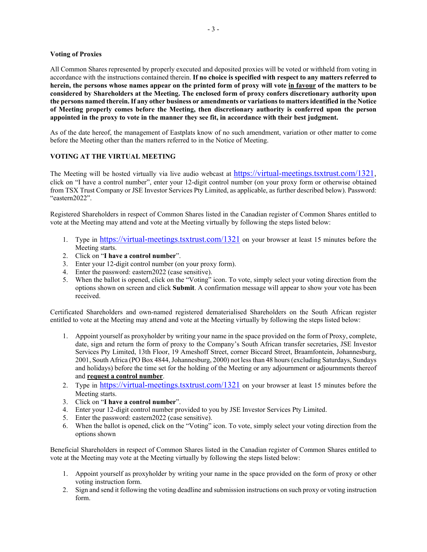# **Voting of Proxies**

All Common Shares represented by properly executed and deposited proxies will be voted or withheld from voting in accordance with the instructions contained therein. **If no choice is specified with respect to any matters referred to herein, the persons whose names appear on the printed form of proxy will vote in favour of the matters to be considered by Shareholders at the Meeting. The enclosed form of proxy confers discretionary authority upon the persons named therein. If any other business or amendments or variations to matters identified in the Notice of Meeting properly comes before the Meeting, then discretionary authority is conferred upon the person appointed in the proxy to vote in the manner they see fit, in accordance with their best judgment.**

As of the date hereof, the management of Eastplats know of no such amendment, variation or other matter to come before the Meeting other than the matters referred to in the Notice of Meeting.

# **VOTING AT THE VIRTUAL MEETING**

The Meeting will be hosted virtually via live audio webcast at https://virtual-meetings.tsxtrust.com/1321, click on "I have a control number", enter your 12-digit control number (on your proxy form or otherwise obtained from TSX Trust Company or JSE Investor Services Pty Limited, as applicable, as further described below). Password: "eastern2022".

Registered Shareholders in respect of Common Shares listed in the Canadian register of Common Shares entitled to vote at the Meeting may attend and vote at the Meeting virtually by following the steps listed below:

- 1. Type in https://virtual-meetings.tsxtrust.com/1321 on your browser at least 15 minutes before the Meeting starts.
- 2. Click on "**I have a control number**".
- 3. Enter your 12-digit control number (on your proxy form).
- 4. Enter the password: eastern2022 (case sensitive).
- 5. When the ballot is opened, click on the "Voting" icon. To vote, simply select your voting direction from the options shown on screen and click **Submit**. A confirmation message will appear to show your vote has been received.

Certificated Shareholders and own-named registered dematerialised Shareholders on the South African register entitled to vote at the Meeting may attend and vote at the Meeting virtually by following the steps listed below:

- 1. Appoint yourself as proxyholder by writing your name in the space provided on the form of Proxy, complete, date, sign and return the form of proxy to the Company's South African transfer secretaries, JSE Investor Services Pty Limited, 13th Floor, 19 Ameshoff Street, corner Biccard Street, Braamfontein, Johannesburg, 2001, South Africa (PO Box 4844, Johannesburg, 2000) not less than 48 hours (excluding Saturdays, Sundays and holidays) before the time set for the holding of the Meeting or any adjournment or adjournments thereof and **request a control number**.
- 2. Type in https://virtual-meetings.tsxtrust.com/1321 on your browser at least 15 minutes before the Meeting starts.
- 3. Click on "**I have a control number**".
- 4. Enter your 12-digit control number provided to you by JSE Investor Services Pty Limited.
- 5. Enter the password: eastern2022 (case sensitive).
- 6. When the ballot is opened, click on the "Voting" icon. To vote, simply select your voting direction from the options shown

Beneficial Shareholders in respect of Common Shares listed in the Canadian register of Common Shares entitled to vote at the Meeting may vote at the Meeting virtually by following the steps listed below:

- 1. Appoint yourself as proxyholder by writing your name in the space provided on the form of proxy or other voting instruction form.
- 2. Sign and send it following the voting deadline and submission instructions on such proxy or voting instruction form.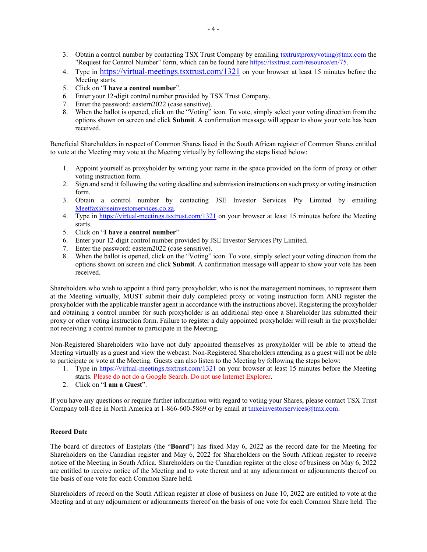- 3. Obtain a control number by contacting TSX Trust Company by emailing tsxtrustproxyvoting@tmx.com the "Request for Control Number" form, which can be found here https://tsxtrust.com/resource/en/75.
- 4. Type in https://virtual-meetings.tsxtrust.com/1321 on your browser at least 15 minutes before the Meeting starts.
- 5. Click on "**I have a control number**".
- 6. Enter your 12-digit control number provided by TSX Trust Company.
- 7. Enter the password: eastern2022 (case sensitive).
- 8. When the ballot is opened, click on the "Voting" icon. To vote, simply select your voting direction from the options shown on screen and click **Submit**. A confirmation message will appear to show your vote has been received.

Beneficial Shareholders in respect of Common Shares listed in the South African register of Common Shares entitled to vote at the Meeting may vote at the Meeting virtually by following the steps listed below:

- 1. Appoint yourself as proxyholder by writing your name in the space provided on the form of proxy or other voting instruction form.
- 2. Sign and send it following the voting deadline and submission instructions on such proxy or voting instruction form.
- 3. Obtain a control number by contacting JSE Investor Services Pty Limited by emailing Meetfax@jseinvestorservices.co.za.
- 4. Type in https://virtual-meetings.tsxtrust.com/1321 on your browser at least 15 minutes before the Meeting starts.
- 5. Click on "**I have a control number**".
- 6. Enter your 12-digit control number provided by JSE Investor Services Pty Limited.
- 7. Enter the password: eastern2022 (case sensitive).
- 8. When the ballot is opened, click on the "Voting" icon. To vote, simply select your voting direction from the options shown on screen and click **Submit**. A confirmation message will appear to show your vote has been received.

Shareholders who wish to appoint a third party proxyholder, who is not the management nominees, to represent them at the Meeting virtually, MUST submit their duly completed proxy or voting instruction form AND register the proxyholder with the applicable transfer agent in accordance with the instructions above). Registering the proxyholder and obtaining a control number for such proxyholder is an additional step once a Shareholder has submitted their proxy or other voting instruction form. Failure to register a duly appointed proxyholder will result in the proxyholder not receiving a control number to participate in the Meeting.

Non-Registered Shareholders who have not duly appointed themselves as proxyholder will be able to attend the Meeting virtually as a guest and view the webcast. Non-Registered Shareholders attending as a guest will not be able to participate or vote at the Meeting. Guests can also listen to the Meeting by following the steps below:

- 1. Type in https://virtual-meetings.tsxtrust.com/1321 on your browser at least 15 minutes before the Meeting starts. Please do not do a Google Search. Do not use Internet Explorer.
- 2. Click on "**I am a Guest**".

If you have any questions or require further information with regard to voting your Shares, please contact TSX Trust Company toll-free in North America at 1-866-600-5869 or by email at tmxeinvestorservices@tmx.com.

# **Record Date**

The board of directors of Eastplats (the "**Board**") has fixed May 6, 2022 as the record date for the Meeting for Shareholders on the Canadian register and May 6, 2022 for Shareholders on the South African register to receive notice of the Meeting in South Africa. Shareholders on the Canadian register at the close of business on May 6, 2022 are entitled to receive notice of the Meeting and to vote thereat and at any adjournment or adjournments thereof on the basis of one vote for each Common Share held.

Shareholders of record on the South African register at close of business on June 10, 2022 are entitled to vote at the Meeting and at any adjournment or adjournments thereof on the basis of one vote for each Common Share held. The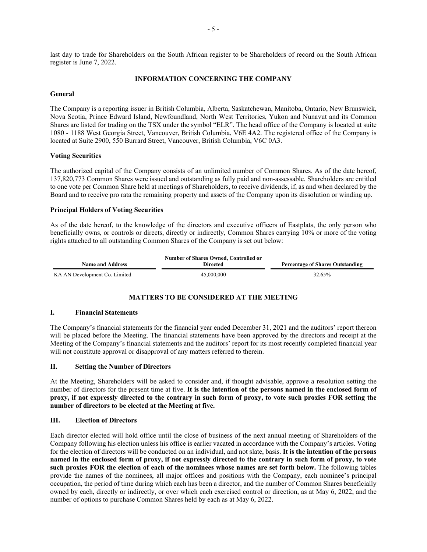last day to trade for Shareholders on the South African register to be Shareholders of record on the South African register is June 7, 2022.

# **INFORMATION CONCERNING THE COMPANY**

# **General**

The Company is a reporting issuer in British Columbia, Alberta, Saskatchewan, Manitoba, Ontario, New Brunswick, Nova Scotia, Prince Edward Island, Newfoundland, North West Territories, Yukon and Nunavut and its Common Shares are listed for trading on the TSX under the symbol "ELR". The head office of the Company is located at suite 1080 - 1188 West Georgia Street, Vancouver, British Columbia, V6E 4A2. The registered office of the Company is located at Suite 2900, 550 Burrard Street, Vancouver, British Columbia, V6C 0A3.

# **Voting Securities**

The authorized capital of the Company consists of an unlimited number of Common Shares. As of the date hereof, 137,820,773 Common Shares were issued and outstanding as fully paid and non-assessable. Shareholders are entitled to one vote per Common Share held at meetings of Shareholders, to receive dividends, if, as and when declared by the Board and to receive pro rata the remaining property and assets of the Company upon its dissolution or winding up.

# **Principal Holders of Voting Securities**

As of the date hereof, to the knowledge of the directors and executive officers of Eastplats, the only person who beneficially owns, or controls or directs, directly or indirectly, Common Shares carrying 10% or more of the voting rights attached to all outstanding Common Shares of the Company is set out below:

| <b>Name and Address</b>       | <b>Directed</b> | <b>Percentage of Shares Outstanding</b> |
|-------------------------------|-----------------|-----------------------------------------|
| KA AN Development Co. Limited | 45,000,000      | 32.65%                                  |

# **MATTERS TO BE CONSIDERED AT THE MEETING**

#### **I. Financial Statements**

The Company's financial statements for the financial year ended December 31, 2021 and the auditors' report thereon will be placed before the Meeting. The financial statements have been approved by the directors and receipt at the Meeting of the Company's financial statements and the auditors' report for its most recently completed financial year will not constitute approval or disapproval of any matters referred to therein.

# **II. Setting the Number of Directors**

At the Meeting, Shareholders will be asked to consider and, if thought advisable, approve a resolution setting the number of directors for the present time at five. **It is the intention of the persons named in the enclosed form of proxy, if not expressly directed to the contrary in such form of proxy, to vote such proxies FOR setting the number of directors to be elected at the Meeting at five.** 

#### **III. Election of Directors**

Each director elected will hold office until the close of business of the next annual meeting of Shareholders of the Company following his election unless his office is earlier vacated in accordance with the Company's articles. Voting for the election of directors will be conducted on an individual, and not slate, basis. **It is the intention of the persons named in the enclosed form of proxy, if not expressly directed to the contrary in such form of proxy, to vote such proxies FOR the election of each of the nominees whose names are set forth below.** The following tables provide the names of the nominees, all major offices and positions with the Company, each nominee's principal occupation, the period of time during which each has been a director, and the number of Common Shares beneficially owned by each, directly or indirectly, or over which each exercised control or direction, as at May 6, 2022, and the number of options to purchase Common Shares held by each as at May 6, 2022.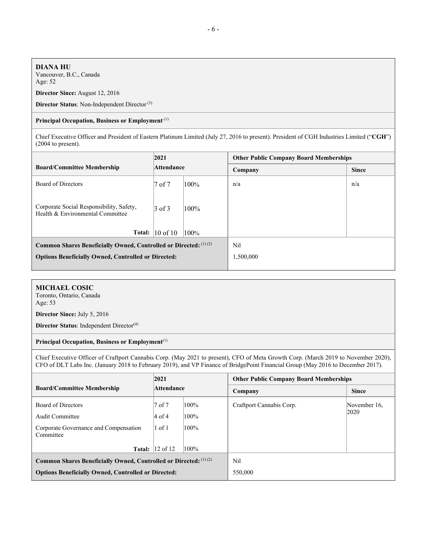### **DIANA HU**

Vancouver, B.C., Canada Age: 52

**Director Since:** August 12, 2016

**Director Status**: Non-Independent Director (3)

#### **Principal Occupation, Business or Employment** (1)

Chief Executive Officer and President of Eastern Platinum Limited (July 27, 2016 to present). President of CGH Industries Limited ("**CGH**") (2004 to present).

|                                                                              | 2021<br>Attendance          |      | <b>Other Public Company Board Memberships</b> |              |  |
|------------------------------------------------------------------------------|-----------------------------|------|-----------------------------------------------|--------------|--|
| <b>Board/Committee Membership</b>                                            |                             |      | Company                                       | <b>Since</b> |  |
| Board of Directors                                                           | 7 of 7                      | 100% | n/a                                           | n/a          |  |
| Corporate Social Responsibility, Safety,<br>Health & Environmental Committee | $3$ of 3<br>$100\%$         |      |                                               |              |  |
|                                                                              | Total: $ 10 \text{ of } 10$ | 100% |                                               |              |  |
| Common Shares Beneficially Owned, Controlled or Directed: (1)(2)             |                             | Nil  |                                               |              |  |
| <b>Options Beneficially Owned, Controlled or Directed:</b>                   |                             |      | 1,500,000                                     |              |  |
|                                                                              |                             |      |                                               |              |  |

# **MICHAEL COSIC**

Toronto, Ontario, Canada Age: 53

**Director Since:** July 5, 2016

**Director Status**: Independent Director<sup>(4)</sup>

#### **Principal Occupation, Business or Employment**(1)

Chief Executive Officer of Craftport Cannabis Corp. (May 2021 to present), CFO of Meta Growth Corp. (March 2019 to November 2020), CFO of DLT Labs Inc. (January 2018 to February 2019), and VP Finance of BridgePoint Financial Group (May 2016 to December 2017).

|                                                                  | 2021<br>Attendance      |         | <b>Other Public Company Board Memberships</b> |              |  |
|------------------------------------------------------------------|-------------------------|---------|-----------------------------------------------|--------------|--|
| <b>Board/Committee Membership</b>                                |                         |         | Company                                       | <b>Since</b> |  |
| Board of Directors                                               | 7 of 7                  | $100\%$ | Craftport Cannabis Corp.                      | November 16, |  |
| Audit Committee                                                  | $4$ of 4                | 100%    |                                               | 2020         |  |
| Corporate Governance and Compensation<br>Committee               | $1$ of $1$<br>100%      |         |                                               |              |  |
|                                                                  | <b>Total:</b>  12 of 12 | 100%    |                                               |              |  |
| Common Shares Beneficially Owned, Controlled or Directed: (1)(2) |                         |         | Nil                                           |              |  |
| <b>Options Beneficially Owned, Controlled or Directed:</b>       |                         |         | 550,000                                       |              |  |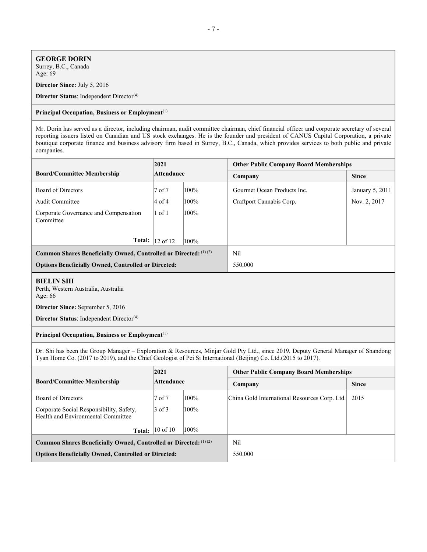#### **GEORGE DORIN** Surrey, B.C., Canada

Age: 69

**Director Since:** July 5, 2016

**Director Status**: Independent Director<sup>(4)</sup>

#### **Principal Occupation, Business or Employment**(1)

Mr. Dorin has served as a director, including chairman, audit committee chairman, chief financial officer and corporate secretary of several reporting issuers listed on Canadian and US stock exchanges. He is the founder and president of CANUS Capital Corporation, a private boutique corporate finance and business advisory firm based in Surrey, B.C., Canada, which provides services to both public and private companies.

|                                                                  | 2021<br>Attendance        |      | <b>Other Public Company Board Memberships</b> |                 |  |  |
|------------------------------------------------------------------|---------------------------|------|-----------------------------------------------|-----------------|--|--|
| <b>Board/Committee Membership</b>                                |                           |      | Company                                       | <b>Since</b>    |  |  |
| Board of Directors                                               | 7 of 7                    | 100% | Gourmet Ocean Products Inc.                   | January 5, 2011 |  |  |
| Audit Committee                                                  | $4$ of 4                  | 100% | Craftport Cannabis Corp.                      | Nov. 2, 2017    |  |  |
| Corporate Governance and Compensation<br>Committee               | $1$ of $1$<br>100%        |      |                                               |                 |  |  |
| Total:                                                           | $ 12$ of $ 12$<br>$100\%$ |      |                                               |                 |  |  |
| Common Shares Beneficially Owned, Controlled or Directed: (1)(2) |                           |      | Nil                                           |                 |  |  |
| <b>Options Beneficially Owned, Controlled or Directed:</b>       |                           |      | 550,000                                       |                 |  |  |

# **BIELIN SHI**

Perth, Western Australia, Australia Age: 66

**Director Since:** September 5, 2016

**Director Status**: Independent Director<sup>(4)</sup>

# **Principal Occupation, Business or Employment**(1)

Dr. Shi has been the Group Manager – Exploration & Resources, Minjar Gold Pty Ltd., since 2019, Deputy General Manager of Shandong Tyan Home Co. (2017 to 2019), and the Chief Geologist of Pei Si International (Beijing) Co. Ltd.(2015 to 2017).

|                                                                                | 2021<br>Attendance                  |      | <b>Other Public Company Board Memberships</b> |              |  |  |
|--------------------------------------------------------------------------------|-------------------------------------|------|-----------------------------------------------|--------------|--|--|
| <b>Board/Committee Membership</b>                                              |                                     |      | Company                                       | <b>Since</b> |  |  |
| Board of Directors                                                             | 7 of 7                              | 100% | China Gold International Resources Corp. Ltd. | 2015         |  |  |
| Corporate Social Responsibility, Safety,<br>Health and Environmental Committee | $3$ of 3<br>100%                    |      |                                               |              |  |  |
|                                                                                | <b>Total:</b> $ 10 \text{ of } 10 $ | 100% |                                               |              |  |  |
| Common Shares Beneficially Owned, Controlled or Directed: (1)(2)               |                                     |      | Nil                                           |              |  |  |
| <b>Options Beneficially Owned, Controlled or Directed:</b>                     |                                     |      | 550,000                                       |              |  |  |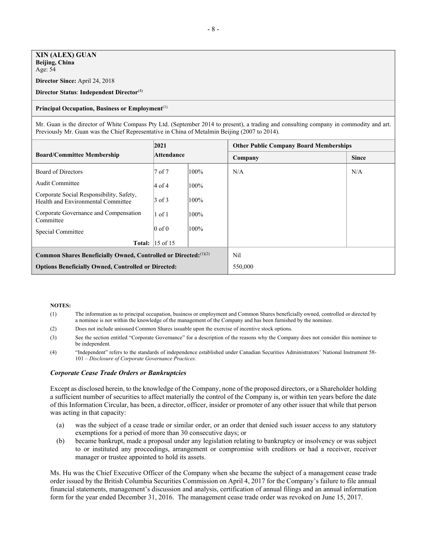# **XIN (ALEX) GUAN Beijing, China**

Age: 54

**Director Since:** April 24, 2018

#### **Director Status**: **Independent Director**(4)

#### **Principal Occupation, Business or Employment**(1)

Mr. Guan is the director of White Compass Pty Ltd. (September 2014 to present), a trading and consulting company in commodity and art. Previously Mr. Guan was the Chief Representative in China of Metalmin Beijing (2007 to 2014).

|                                                                                | 2021<br>Attendance     |         | <b>Other Public Company Board Memberships</b> |              |  |
|--------------------------------------------------------------------------------|------------------------|---------|-----------------------------------------------|--------------|--|
| <b>Board/Committee Membership</b>                                              |                        |         | Company                                       | <b>Since</b> |  |
| Board of Directors                                                             | 7 of 7                 | 100%    | N/A                                           | N/A          |  |
| Audit Committee                                                                | $4$ of 4               | 100%    |                                               |              |  |
| Corporate Social Responsibility, Safety,<br>Health and Environmental Committee | $3$ of $3$             | 100%    |                                               |              |  |
| Corporate Governance and Compensation<br>Committee                             | $1$ of $1$             | 100%    |                                               |              |  |
| Special Committee                                                              | $0$ of $0$             | 100%    |                                               |              |  |
|                                                                                | <b>Total:</b> 15 of 15 |         |                                               |              |  |
| Common Shares Beneficially Owned, Controlled or Directed: (1)(2)               |                        |         | Nil                                           |              |  |
| <b>Options Beneficially Owned, Controlled or Directed:</b>                     |                        | 550,000 |                                               |              |  |

#### **NOTES:**

- (1) The information as to principal occupation, business or employment and Common Shares beneficially owned, controlled or directed by a nominee is not within the knowledge of the management of the Company and has been furnished by the nominee.
- (2) Does not include unissued Common Shares issuable upon the exercise of incentive stock options.
- (3) See the section entitled "Corporate Governance" for a description of the reasons why the Company does not consider this nominee to be independent.
- (4) "Independent" refers to the standards of independence established under Canadian Securities Administrators' National Instrument 58- 101 – *Disclosure of Corporate Governance Practices*.

#### *Corporate Cease Trade Orders or Bankruptcies*

Except as disclosed herein, to the knowledge of the Company, none of the proposed directors, or a Shareholder holding a sufficient number of securities to affect materially the control of the Company is, or within ten years before the date of this Information Circular, has been, a director, officer, insider or promoter of any other issuer that while that person was acting in that capacity:

- (a) was the subject of a cease trade or similar order, or an order that denied such issuer access to any statutory exemptions for a period of more than 30 consecutive days; or
- (b) became bankrupt, made a proposal under any legislation relating to bankruptcy or insolvency or was subject to or instituted any proceedings, arrangement or compromise with creditors or had a receiver, receiver manager or trustee appointed to hold its assets.

Ms. Hu was the Chief Executive Officer of the Company when she became the subject of a management cease trade order issued by the British Columbia Securities Commission on April 4, 2017 for the Company's failure to file annual financial statements, management's discussion and analysis, certification of annual filings and an annual information form for the year ended December 31, 2016. The management cease trade order was revoked on June 15, 2017.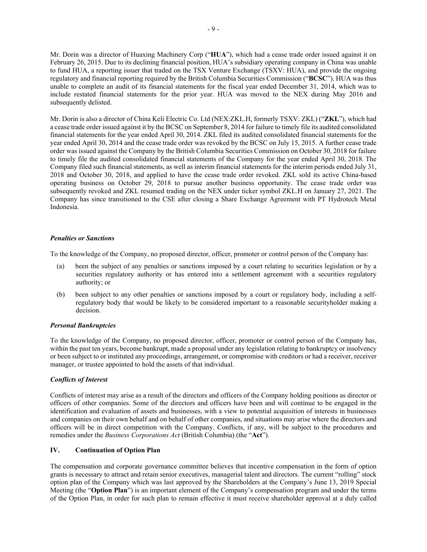Mr. Dorin was a director of Huaxing Machinery Corp ("**HUA**"), which had a cease trade order issued against it on February 26, 2015. Due to its declining financial position, HUA's subsidiary operating company in China was unable to fund HUA, a reporting issuer that traded on the TSX Venture Exchange (TSXV: HUA), and provide the ongoing regulatory and financial reporting required by the British Columbia Securities Commission ("**BCSC**"). HUA was thus unable to complete an audit of its financial statements for the fiscal year ended December 31, 2014, which was to include restated financial statements for the prior year. HUA was moved to the NEX during May 2016 and subsequently delisted.

Mr. Dorin is also a director of China Keli Electric Co. Ltd (NEX:ZKL.H, formerly TSXV: ZKL) ("**ZKL**"), which had a cease trade order issued against it by the BCSC on September 8, 2014 for failure to timely file its audited consolidated financial statements for the year ended April 30, 2014. ZKL filed its audited consolidated financial statements for the year ended April 30, 2014 and the cease trade order was revoked by the BCSC on July 15, 2015. A further cease trade order was issued against the Company by the British Columbia Securities Commission on October 30, 2018 for failure to timely file the audited consolidated financial statements of the Company for the year ended April 30, 2018. The Company filed such financial statements, as well as interim financial statements for the interim periods ended July 31, 2018 and October 30, 2018, and applied to have the cease trade order revoked. ZKL sold its active China-based operating business on October 29, 2018 to pursue another business opportunity. The cease trade order was subsequently revoked and ZKL resumed trading on the NEX under ticker symbol ZKL.H on January 27, 2021. The Company has since transitioned to the CSE after closing a Share Exchange Agreement with PT Hydrotech Metal Indonesia.

# *Penalties or Sanctions*

To the knowledge of the Company, no proposed director, officer, promoter or control person of the Company has:

- (a) been the subject of any penalties or sanctions imposed by a court relating to securities legislation or by a securities regulatory authority or has entered into a settlement agreement with a securities regulatory authority; or
- (b) been subject to any other penalties or sanctions imposed by a court or regulatory body, including a selfregulatory body that would be likely to be considered important to a reasonable securityholder making a decision.

#### *Personal Bankruptcies*

To the knowledge of the Company, no proposed director, officer, promoter or control person of the Company has, within the past ten years, become bankrupt, made a proposal under any legislation relating to bankruptcy or insolvency or been subject to or instituted any proceedings, arrangement, or compromise with creditors or had a receiver, receiver manager, or trustee appointed to hold the assets of that individual.

#### *Conflicts of Interest*

Conflicts of interest may arise as a result of the directors and officers of the Company holding positions as director or officers of other companies. Some of the directors and officers have been and will continue to be engaged in the identification and evaluation of assets and businesses, with a view to potential acquisition of interests in businesses and companies on their own behalf and on behalf of other companies, and situations may arise where the directors and officers will be in direct competition with the Company. Conflicts, if any, will be subject to the procedures and remedies under the *Business Corporations Act* (British Columbia) (the "**Act**").

#### **IV. Continuation of Option Plan**

The compensation and corporate governance committee believes that incentive compensation in the form of option grants is necessary to attract and retain senior executives, managerial talent and directors. The current "rolling" stock option plan of the Company which was last approved by the Shareholders at the Company's June 13, 2019 Special Meeting (the "**Option Plan**") is an important element of the Company's compensation program and under the terms of the Option Plan, in order for such plan to remain effective it must receive shareholder approval at a duly called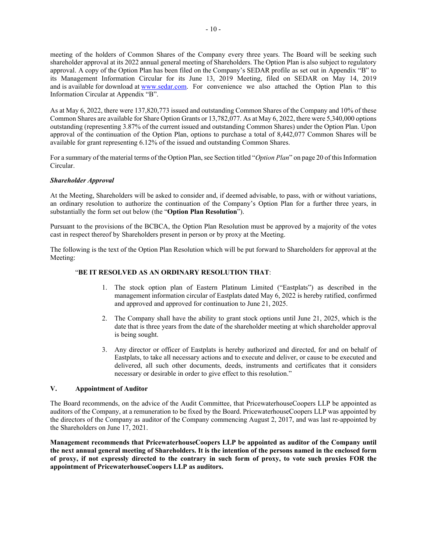meeting of the holders of Common Shares of the Company every three years. The Board will be seeking such shareholder approval at its 2022 annual general meeting of Shareholders. The Option Plan is also subject to regulatory approval. A copy of the Option Plan has been filed on the Company's SEDAR profile as set out in Appendix "B" to its Management Information Circular for its June 13, 2019 Meeting, filed on SEDAR on May 14, 2019 and is available for download at www.sedar.com. For convenience we also attached the Option Plan to this Information Circular at Appendix "B".

As at May 6, 2022, there were 137,820,773 issued and outstanding Common Shares of the Company and 10% of these Common Shares are available for Share Option Grants or 13,782,077. As at May 6, 2022, there were 5,340,000 options outstanding (representing 3.87% of the current issued and outstanding Common Shares) under the Option Plan. Upon approval of the continuation of the Option Plan, options to purchase a total of 8,442,077 Common Shares will be available for grant representing 6.12% of the issued and outstanding Common Shares.

For a summary of the material terms of the Option Plan, see Section titled "*Option Plan*" on page 20 of this Information Circular.

# *Shareholder Approval*

At the Meeting, Shareholders will be asked to consider and, if deemed advisable, to pass, with or without variations, an ordinary resolution to authorize the continuation of the Company's Option Plan for a further three years, in substantially the form set out below (the "**Option Plan Resolution**").

Pursuant to the provisions of the BCBCA, the Option Plan Resolution must be approved by a majority of the votes cast in respect thereof by Shareholders present in person or by proxy at the Meeting.

The following is the text of the Option Plan Resolution which will be put forward to Shareholders for approval at the Meeting:

# "**BE IT RESOLVED AS AN ORDINARY RESOLUTION THAT**:

- 1. The stock option plan of Eastern Platinum Limited ("Eastplats") as described in the management information circular of Eastplats dated May 6, 2022 is hereby ratified, confirmed and approved and approved for continuation to June 21, 2025.
- 2. The Company shall have the ability to grant stock options until June 21, 2025, which is the date that is three years from the date of the shareholder meeting at which shareholder approval is being sought.
- 3. Any director or officer of Eastplats is hereby authorized and directed, for and on behalf of Eastplats, to take all necessary actions and to execute and deliver, or cause to be executed and delivered, all such other documents, deeds, instruments and certificates that it considers necessary or desirable in order to give effect to this resolution."

#### **V. Appointment of Auditor**

The Board recommends, on the advice of the Audit Committee, that PricewaterhouseCoopers LLP be appointed as auditors of the Company, at a remuneration to be fixed by the Board. PricewaterhouseCoopers LLP was appointed by the directors of the Company as auditor of the Company commencing August 2, 2017, and was last re-appointed by the Shareholders on June 17, 2021.

**Management recommends that PricewaterhouseCoopers LLP be appointed as auditor of the Company until the next annual general meeting of Shareholders. It is the intention of the persons named in the enclosed form of proxy, if not expressly directed to the contrary in such form of proxy, to vote such proxies FOR the appointment of PricewaterhouseCoopers LLP as auditors.**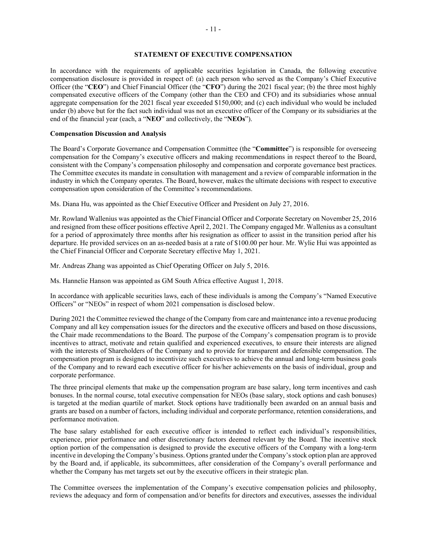# **STATEMENT OF EXECUTIVE COMPENSATION**

In accordance with the requirements of applicable securities legislation in Canada, the following executive compensation disclosure is provided in respect of: (a) each person who served as the Company's Chief Executive Officer (the "**CEO**") and Chief Financial Officer (the "**CFO**") during the 2021 fiscal year; (b) the three most highly compensated executive officers of the Company (other than the CEO and CFO) and its subsidiaries whose annual aggregate compensation for the 2021 fiscal year exceeded \$150,000; and (c) each individual who would be included under (b) above but for the fact such individual was not an executive officer of the Company or its subsidiaries at the end of the financial year (each, a "**NEO**" and collectively, the "**NEOs**").

#### **Compensation Discussion and Analysis**

The Board's Corporate Governance and Compensation Committee (the "**Committee**") is responsible for overseeing compensation for the Company's executive officers and making recommendations in respect thereof to the Board, consistent with the Company's compensation philosophy and compensation and corporate governance best practices. The Committee executes its mandate in consultation with management and a review of comparable information in the industry in which the Company operates. The Board, however, makes the ultimate decisions with respect to executive compensation upon consideration of the Committee's recommendations.

Ms. Diana Hu, was appointed as the Chief Executive Officer and President on July 27, 2016.

Mr. Rowland Wallenius was appointed as the Chief Financial Officer and Corporate Secretary on November 25, 2016 and resigned from these officer positions effective April 2, 2021. The Company engaged Mr. Wallenius as a consultant for a period of approximately three months after his resignation as officer to assist in the transition period after his departure. He provided services on an as-needed basis at a rate of \$100.00 per hour. Mr. Wylie Hui was appointed as the Chief Financial Officer and Corporate Secretary effective May 1, 2021.

Mr. Andreas Zhang was appointed as Chief Operating Officer on July 5, 2016.

Ms. Hannelie Hanson was appointed as GM South Africa effective August 1, 2018.

In accordance with applicable securities laws, each of these individuals is among the Company's "Named Executive Officers" or "NEOs" in respect of whom 2021 compensation is disclosed below.

During 2021 the Committee reviewed the change of the Company from care and maintenance into a revenue producing Company and all key compensation issues for the directors and the executive officers and based on those discussions, the Chair made recommendations to the Board. The purpose of the Company's compensation program is to provide incentives to attract, motivate and retain qualified and experienced executives, to ensure their interests are aligned with the interests of Shareholders of the Company and to provide for transparent and defensible compensation. The compensation program is designed to incentivize such executives to achieve the annual and long-term business goals of the Company and to reward each executive officer for his/her achievements on the basis of individual, group and corporate performance.

The three principal elements that make up the compensation program are base salary, long term incentives and cash bonuses. In the normal course, total executive compensation for NEOs (base salary, stock options and cash bonuses) is targeted at the median quartile of market. Stock options have traditionally been awarded on an annual basis and grants are based on a number of factors, including individual and corporate performance, retention considerations, and performance motivation.

The base salary established for each executive officer is intended to reflect each individual's responsibilities, experience, prior performance and other discretionary factors deemed relevant by the Board. The incentive stock option portion of the compensation is designed to provide the executive officers of the Company with a long-term incentive in developing the Company's business. Options granted under the Company's stock option plan are approved by the Board and, if applicable, its subcommittees, after consideration of the Company's overall performance and whether the Company has met targets set out by the executive officers in their strategic plan.

The Committee oversees the implementation of the Company's executive compensation policies and philosophy, reviews the adequacy and form of compensation and/or benefits for directors and executives, assesses the individual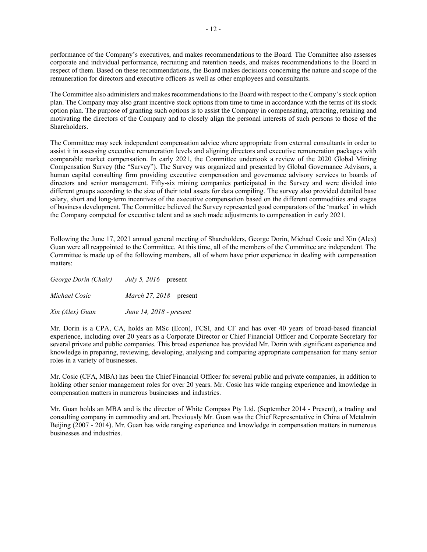performance of the Company's executives, and makes recommendations to the Board. The Committee also assesses corporate and individual performance, recruiting and retention needs, and makes recommendations to the Board in respect of them. Based on these recommendations, the Board makes decisions concerning the nature and scope of the remuneration for directors and executive officers as well as other employees and consultants.

The Committee also administers and makes recommendations to the Board with respect to the Company's stock option plan. The Company may also grant incentive stock options from time to time in accordance with the terms of its stock option plan. The purpose of granting such options is to assist the Company in compensating, attracting, retaining and motivating the directors of the Company and to closely align the personal interests of such persons to those of the Shareholders.

The Committee may seek independent compensation advice where appropriate from external consultants in order to assist it in assessing executive remuneration levels and aligning directors and executive remuneration packages with comparable market compensation. In early 2021, the Committee undertook a review of the 2020 Global Mining Compensation Survey (the "Survey"). The Survey was organized and presented by Global Governance Advisors, a human capital consulting firm providing executive compensation and governance advisory services to boards of directors and senior management. Fifty-six mining companies participated in the Survey and were divided into different groups according to the size of their total assets for data compiling. The survey also provided detailed base salary, short and long-term incentives of the executive compensation based on the different commodities and stages of business development. The Committee believed the Survey represented good comparators of the 'market' in which the Company competed for executive talent and as such made adjustments to compensation in early 2021.

Following the June 17, 2021 annual general meeting of Shareholders, George Dorin, Michael Cosic and Xin (Alex) Guan were all reappointed to the Committee. At this time, all of the members of the Committee are independent. The Committee is made up of the following members, all of whom have prior experience in dealing with compensation matters:

| George Dorin (Chair) | July 5, $2016$ – present        |
|----------------------|---------------------------------|
| Michael Cosic        | <i>March 27, 2018</i> – present |
| Xin (Alex) Guan      | June 14, 2018 - present         |

Mr. Dorin is a CPA, CA, holds an MSc (Econ), FCSI, and CF and has over 40 years of broad-based financial experience, including over 20 years as a Corporate Director or Chief Financial Officer and Corporate Secretary for several private and public companies. This broad experience has provided Mr. Dorin with significant experience and knowledge in preparing, reviewing, developing, analysing and comparing appropriate compensation for many senior roles in a variety of businesses.

Mr. Cosic (CFA, MBA) has been the Chief Financial Officer for several public and private companies, in addition to holding other senior management roles for over 20 years. Mr. Cosic has wide ranging experience and knowledge in compensation matters in numerous businesses and industries.

Mr. Guan holds an MBA and is the director of White Compass Pty Ltd. (September 2014 - Present), a trading and consulting company in commodity and art. Previously Mr. Guan was the Chief Representative in China of Metalmin Beijing (2007 - 2014). Mr. Guan has wide ranging experience and knowledge in compensation matters in numerous businesses and industries.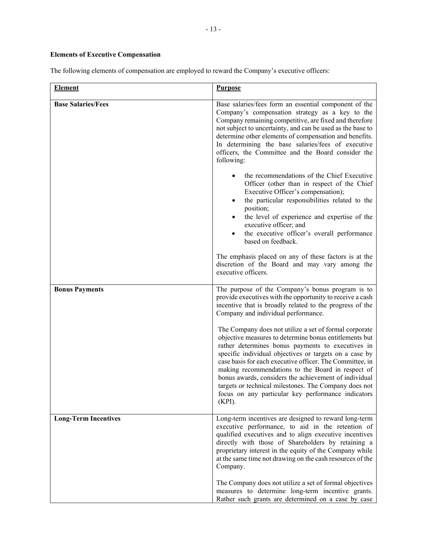# **Elements of Executive Compensation**

The following elements of compensation are employed to reward the Company's executive officers:

| <b>Element</b>              | <b>Purpose</b>                                                                                                                                                                                                                                                                                                                                                                                                                                                                                                                     |  |  |  |
|-----------------------------|------------------------------------------------------------------------------------------------------------------------------------------------------------------------------------------------------------------------------------------------------------------------------------------------------------------------------------------------------------------------------------------------------------------------------------------------------------------------------------------------------------------------------------|--|--|--|
| <b>Base Salaries/Fees</b>   | Base salaries/fees form an essential component of the<br>Company's compensation strategy as a key to the<br>Company remaining competitive, are fixed and therefore<br>not subject to uncertainty, and can be used as the base to<br>determine other elements of compensation and benefits.<br>In determining the base salaries/fees of executive<br>officers, the Committee and the Board consider the<br>following:                                                                                                               |  |  |  |
|                             | the recommendations of the Chief Executive<br>Officer (other than in respect of the Chief<br>Executive Officer's compensation);<br>the particular responsibilities related to the<br>position;<br>the level of experience and expertise of the<br>executive officer; and<br>the executive officer's overall performance<br>based on feedback.                                                                                                                                                                                      |  |  |  |
|                             | The emphasis placed on any of these factors is at the<br>discretion of the Board and may vary among the<br>executive officers.                                                                                                                                                                                                                                                                                                                                                                                                     |  |  |  |
| <b>Bonus Payments</b>       | The purpose of the Company's bonus program is to<br>provide executives with the opportunity to receive a cash<br>incentive that is broadly related to the progress of the<br>Company and individual performance.                                                                                                                                                                                                                                                                                                                   |  |  |  |
|                             | The Company does not utilize a set of formal corporate<br>objective measures to determine bonus entitlements but<br>rather determines bonus payments to executives in<br>specific individual objectives or targets on a case by<br>case basis for each executive officer. The Committee, in<br>making recommendations to the Board in respect of<br>bonus awards, considers the achievement of individual<br>targets or technical milestones. The Company does not<br>focus on any particular key performance indicators<br>(KPI). |  |  |  |
| <b>Long-Term Incentives</b> | Long-term incentives are designed to reward long-term<br>executive performance, to aid in the retention of<br>qualified executives and to align executive incentives<br>directly with those of Shareholders by retaining a<br>proprietary interest in the equity of the Company while<br>at the same time not drawing on the cash resources of the<br>Company.                                                                                                                                                                     |  |  |  |
|                             | The Company does not utilize a set of formal objectives<br>measures to determine long-term incentive grants.<br>Rather such grants are determined on a case by case                                                                                                                                                                                                                                                                                                                                                                |  |  |  |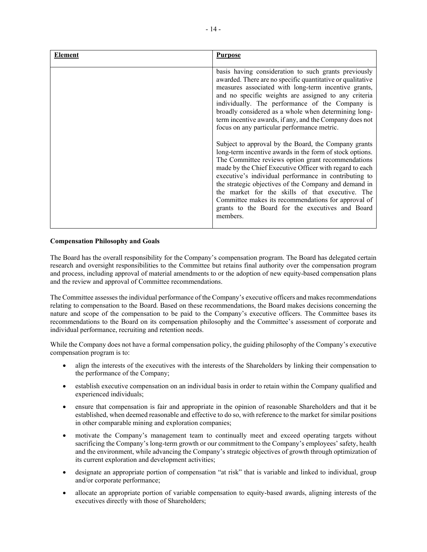| Element | <b>Purpose</b>                                                                                                                                                                                                                                                                                                                                                                                                                                                                                                                                                                                                                                                                                                                                                                                                                                                                                                                                                                            |
|---------|-------------------------------------------------------------------------------------------------------------------------------------------------------------------------------------------------------------------------------------------------------------------------------------------------------------------------------------------------------------------------------------------------------------------------------------------------------------------------------------------------------------------------------------------------------------------------------------------------------------------------------------------------------------------------------------------------------------------------------------------------------------------------------------------------------------------------------------------------------------------------------------------------------------------------------------------------------------------------------------------|
|         | basis having consideration to such grants previously<br>awarded. There are no specific quantitative or qualitative<br>measures associated with long-term incentive grants,<br>and no specific weights are assigned to any criteria<br>individually. The performance of the Company is<br>broadly considered as a whole when determining long-<br>term incentive awards, if any, and the Company does not<br>focus on any particular performance metric.<br>Subject to approval by the Board, the Company grants<br>long-term incentive awards in the form of stock options.<br>The Committee reviews option grant recommendations<br>made by the Chief Executive Officer with regard to each<br>executive's individual performance in contributing to<br>the strategic objectives of the Company and demand in<br>the market for the skills of that executive. The<br>Committee makes its recommendations for approval of<br>grants to the Board for the executives and Board<br>members. |
|         |                                                                                                                                                                                                                                                                                                                                                                                                                                                                                                                                                                                                                                                                                                                                                                                                                                                                                                                                                                                           |

# **Compensation Philosophy and Goals**

The Board has the overall responsibility for the Company's compensation program. The Board has delegated certain research and oversight responsibilities to the Committee but retains final authority over the compensation program and process, including approval of material amendments to or the adoption of new equity-based compensation plans and the review and approval of Committee recommendations.

The Committee assesses the individual performance of the Company's executive officers and makes recommendations relating to compensation to the Board. Based on these recommendations, the Board makes decisions concerning the nature and scope of the compensation to be paid to the Company's executive officers. The Committee bases its recommendations to the Board on its compensation philosophy and the Committee's assessment of corporate and individual performance, recruiting and retention needs.

While the Company does not have a formal compensation policy, the guiding philosophy of the Company's executive compensation program is to:

- align the interests of the executives with the interests of the Shareholders by linking their compensation to the performance of the Company;
- establish executive compensation on an individual basis in order to retain within the Company qualified and experienced individuals;
- ensure that compensation is fair and appropriate in the opinion of reasonable Shareholders and that it be established, when deemed reasonable and effective to do so, with reference to the market for similar positions in other comparable mining and exploration companies;
- motivate the Company's management team to continually meet and exceed operating targets without sacrificing the Company's long-term growth or our commitment to the Company's employees' safety, health and the environment, while advancing the Company's strategic objectives of growth through optimization of its current exploration and development activities;
- designate an appropriate portion of compensation "at risk" that is variable and linked to individual, group and/or corporate performance;
- allocate an appropriate portion of variable compensation to equity-based awards, aligning interests of the executives directly with those of Shareholders;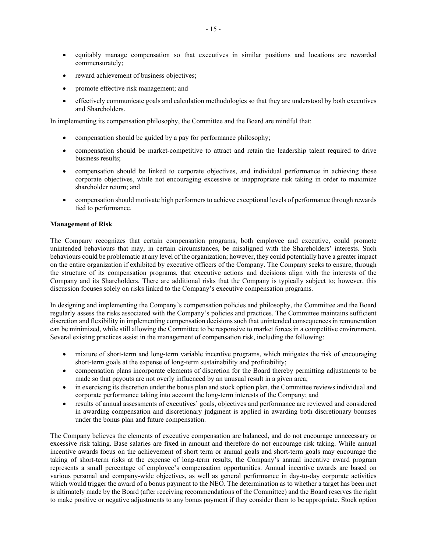- equitably manage compensation so that executives in similar positions and locations are rewarded commensurately;
- reward achievement of business objectives;
- promote effective risk management; and
- effectively communicate goals and calculation methodologies so that they are understood by both executives and Shareholders.

In implementing its compensation philosophy, the Committee and the Board are mindful that:

- compensation should be guided by a pay for performance philosophy;
- compensation should be market-competitive to attract and retain the leadership talent required to drive business results;
- compensation should be linked to corporate objectives, and individual performance in achieving those corporate objectives, while not encouraging excessive or inappropriate risk taking in order to maximize shareholder return; and
- compensation should motivate high performers to achieve exceptional levels of performance through rewards tied to performance.

#### **Management of Risk**

The Company recognizes that certain compensation programs, both employee and executive, could promote unintended behaviours that may, in certain circumstances, be misaligned with the Shareholders' interests. Such behaviours could be problematic at any level of the organization; however, they could potentially have a greater impact on the entire organization if exhibited by executive officers of the Company. The Company seeks to ensure, through the structure of its compensation programs, that executive actions and decisions align with the interests of the Company and its Shareholders. There are additional risks that the Company is typically subject to; however, this discussion focuses solely on risks linked to the Company's executive compensation programs.

In designing and implementing the Company's compensation policies and philosophy, the Committee and the Board regularly assess the risks associated with the Company's policies and practices. The Committee maintains sufficient discretion and flexibility in implementing compensation decisions such that unintended consequences in remuneration can be minimized, while still allowing the Committee to be responsive to market forces in a competitive environment. Several existing practices assist in the management of compensation risk, including the following:

- mixture of short-term and long-term variable incentive programs, which mitigates the risk of encouraging short-term goals at the expense of long-term sustainability and profitability;
- compensation plans incorporate elements of discretion for the Board thereby permitting adjustments to be made so that payouts are not overly influenced by an unusual result in a given area;
- in exercising its discretion under the bonus plan and stock option plan, the Committee reviews individual and corporate performance taking into account the long-term interests of the Company; and
- results of annual assessments of executives' goals, objectives and performance are reviewed and considered in awarding compensation and discretionary judgment is applied in awarding both discretionary bonuses under the bonus plan and future compensation.

The Company believes the elements of executive compensation are balanced, and do not encourage unnecessary or excessive risk taking. Base salaries are fixed in amount and therefore do not encourage risk taking. While annual incentive awards focus on the achievement of short term or annual goals and short-term goals may encourage the taking of short-term risks at the expense of long-term results, the Company's annual incentive award program represents a small percentage of employee's compensation opportunities. Annual incentive awards are based on various personal and company-wide objectives, as well as general performance in day-to-day corporate activities which would trigger the award of a bonus payment to the NEO. The determination as to whether a target has been met is ultimately made by the Board (after receiving recommendations of the Committee) and the Board reserves the right to make positive or negative adjustments to any bonus payment if they consider them to be appropriate. Stock option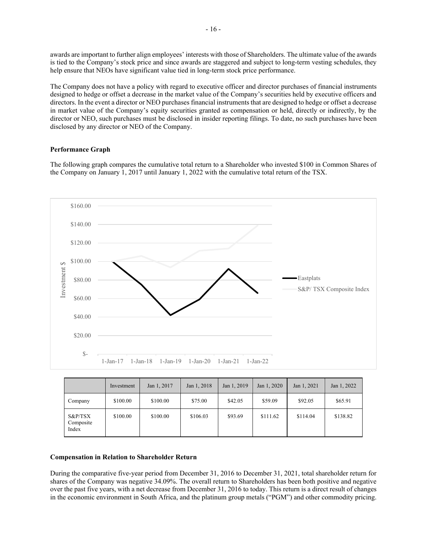awards are important to further align employees' interests with those of Shareholders. The ultimate value of the awards is tied to the Company's stock price and since awards are staggered and subject to long-term vesting schedules, they help ensure that NEOs have significant value tied in long-term stock price performance.

The Company does not have a policy with regard to executive officer and director purchases of financial instruments designed to hedge or offset a decrease in the market value of the Company's securities held by executive officers and directors. In the event a director or NEO purchases financial instruments that are designed to hedge or offset a decrease in market value of the Company's equity securities granted as compensation or held, directly or indirectly, by the director or NEO, such purchases must be disclosed in insider reporting filings. To date, no such purchases have been disclosed by any director or NEO of the Company.

# **Performance Graph**

The following graph compares the cumulative total return to a Shareholder who invested \$100 in Common Shares of the Company on January 1, 2017 until January 1, 2022 with the cumulative total return of the TSX.



|                                  | Investment | Jan 1, 2017 | Jan 1, 2018 | Jan 1, 2019 | Jan 1, 2020 | Jan 1, 2021 | Jan 1, 2022 |
|----------------------------------|------------|-------------|-------------|-------------|-------------|-------------|-------------|
| Company                          | \$100.00   | \$100.00    | \$75.00     | \$42.05     | \$59.09     | \$92.05     | \$65.91     |
| $S\&P/TSX$<br>Composite<br>Index | \$100.00   | \$100.00    | \$106.03    | \$93.69     | \$111.62    | \$114.04    | \$138.82    |

### **Compensation in Relation to Shareholder Return**

During the comparative five-year period from December 31, 2016 to December 31, 2021, total shareholder return for shares of the Company was negative 34.09%. The overall return to Shareholders has been both positive and negative over the past five years, with a net decrease from December 31, 2016 to today. This return is a direct result of changes in the economic environment in South Africa, and the platinum group metals ("PGM") and other commodity pricing.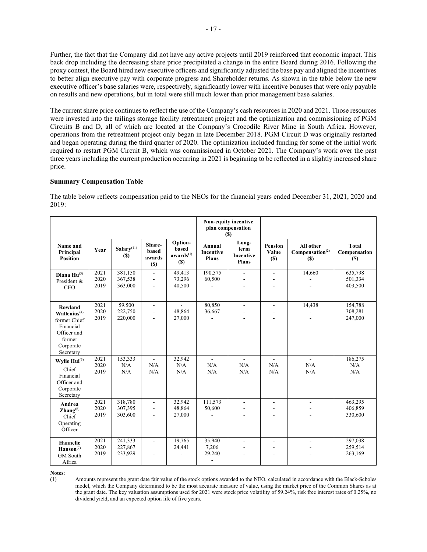Further, the fact that the Company did not have any active projects until 2019 reinforced that economic impact. This back drop including the decreasing share price precipitated a change in the entire Board during 2016. Following the proxy contest, the Board hired new executive officers and significantly adjusted the base pay and aligned the incentives to better align executive pay with corporate progress and Shareholder returns. As shown in the table below the new executive officer's base salaries were, respectively, significantly lower with incentive bonuses that were only payable on results and new operations, but in total were still much lower than prior management base salaries.

The current share price continues to reflect the use of the Company's cash resources in 2020 and 2021. Those resources were invested into the tailings storage facility retreatment project and the optimization and commissioning of PGM Circuits B and D, all of which are located at the Company's Crocodile River Mine in South Africa. However, operations from the retreatment project only began in late December 2018. PGM Circuit D was originally restarted and began operating during the third quarter of 2020. The optimization included funding for some of the initial work required to restart PGM Circuit B, which was commissioned in October 2021. The Company's work over the past three years including the current production occurring in 2021 is beginning to be reflected in a slightly increased share price.

# **Summary Compensation Table**

The table below reflects compensation paid to the NEOs for the financial years ended December 31, 2021, 2020 and 2019:

|                                                                                                                       |                      |                                       |                                  |                                                  | Non-equity incentive<br>plan compensation<br>(S)      |                                            |                                |                                                 |                                             |
|-----------------------------------------------------------------------------------------------------------------------|----------------------|---------------------------------------|----------------------------------|--------------------------------------------------|-------------------------------------------------------|--------------------------------------------|--------------------------------|-------------------------------------------------|---------------------------------------------|
| Name and<br>Principal<br><b>Position</b>                                                                              | Year                 | Salary <sup>(11)</sup><br><b>(\$)</b> | Share-<br>based<br>awards<br>(S) | Option-<br>based<br>awards <sup>(1)</sup><br>(S) | Annual<br>Incentive<br><b>Plans</b>                   | Long-<br>term<br>Incentive<br><b>Plans</b> | <b>Pension</b><br>Value<br>(S) | All other<br>Compensation <sup>(2)</sup><br>(S) | <b>Total</b><br>Compensation<br><b>(\$)</b> |
| Diana $Hu^{(3)}$<br>President &<br><b>CEO</b>                                                                         | 2021<br>2020<br>2019 | 381,150<br>367,538<br>363,000         | $\overline{\phantom{a}}$         | 49,413<br>73,296<br>40,500                       | 190,575<br>60,500                                     | $\overline{\phantom{a}}$                   | $\blacksquare$                 | 14,660                                          | 635,798<br>501,334<br>403,500               |
| Rowland<br>$\mathbf{Wallenius}^{(4)}$<br>former Chief<br>Financial<br>Officer and<br>former<br>Corporate<br>Secretary | 2021<br>2020<br>2019 | 59,500<br>222,750<br>220,000          | $\overline{a}$<br>÷.             | $\overline{\phantom{a}}$<br>48.864<br>27,000     | 80,850<br>36,667                                      | $\overline{a}$                             | $\overline{a}$                 | 14,438                                          | 154,788<br>308,281<br>247,000               |
| Wylie Hui <sup>(5)</sup><br>Chief<br>Financial<br>Officer and<br>Corporate<br>Secretary                               | 2021<br>2020<br>2019 | 153,333<br>N/A<br>N/A                 | $\sim$<br>N/A<br>N/A             | 32,942<br>N/A<br>N/A                             | ÷.<br>N/A<br>N/A                                      | $\overline{a}$<br>N/A<br>N/A               | ÷.<br>N/A<br>N/A               | ÷.<br>N/A<br>N/A                                | 186,275<br>N/A<br>N/A                       |
| Andrea<br>$\mathbf{Zhang}^{(6)}$<br>Chief<br>Operating<br>Officer                                                     | 2021<br>2020<br>2019 | 318,780<br>307,395<br>303,600         | $\overline{a}$                   | 32,942<br>48.864<br>27,000                       | 111,573<br>50,600<br>J.                               | $\overline{\phantom{a}}$                   | $\overline{a}$<br>÷.           | $\overline{a}$                                  | 463,295<br>406.859<br>330,600               |
| Hannelie<br>Hanson <sup>(7)</sup><br><b>GM</b> South<br>Africa                                                        | 2021<br>2020<br>2019 | 241,333<br>227,867<br>233,929         | $\overline{a}$                   | 19,765<br>24,441                                 | 35,940<br>7,206<br>29,240<br>$\overline{\phantom{a}}$ | $\blacksquare$                             | $\blacksquare$                 |                                                 | 297,038<br>259,514<br>263,169               |

**Notes**:

(1) Amounts represent the grant date fair value of the stock options awarded to the NEO, calculated in accordance with the Black-Scholes model, which the Company determined to be the most accurate measure of value, using the market price of the Common Shares as at the grant date. The key valuation assumptions used for 2021 were stock price volatility of 59.24%, risk free interest rates of 0.25%, no dividend yield, and an expected option life of five years.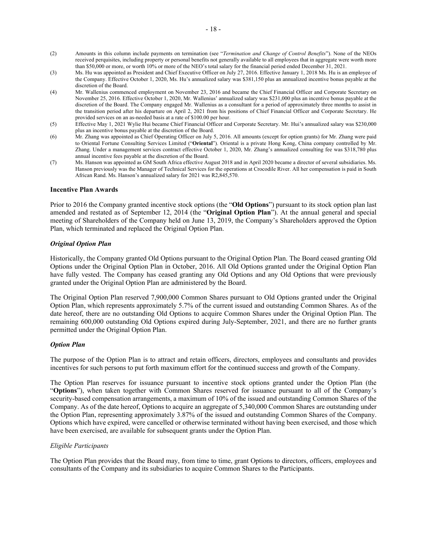- (2) Amounts in this column include payments on termination (see "*Termination and Change of Control Benefits*"). None of the NEOs received perquisites, including property or personal benefits not generally available to all employees that in aggregate were worth more than \$50,000 or more, or worth 10% or more of the NEO's total salary for the financial period ended December 31, 2021.
- (3) Ms. Hu was appointed as President and Chief Executive Officer on July 27, 2016. Effective January 1, 2018 Ms. Hu is an employee of the Company. Effective October 1, 2020, Ms. Hu's annualized salary was \$381,150 plus an annualized incentive bonus payable at the discretion of the Board.
- (4) Mr. Wallenius commenced employment on November 23, 2016 and became the Chief Financial Officer and Corporate Secretary on November 25, 2016. Effective October 1, 2020, Mr. Wallenius' annualized salary was \$231,000 plus an incentive bonus payable at the discretion of the Board. The Company engaged Mr. Wallenius as a consultant for a period of approximately three months to assist in the transition period after his departure on April 2, 2021 from his positions of Chief Financial Officer and Corporate Secretary. He provided services on an as-needed basis at a rate of \$100.00 per hour.
- (5) Effective May 1, 2021 Wylie Hui became Chief Financial Officer and Corporate Secretary. Mr. Hui's annualized salary was \$230,000 plus an incentive bonus payable at the discretion of the Board.
- (6) Mr. Zhang was appointed as Chief Operating Officer on July 5, 2016. All amounts (except for option grants) for Mr. Zhang were paid to Oriental Fortune Consulting Services Limited ("**Oriental**"). Oriental is a private Hong Kong, China company controlled by Mr. Zhang. Under a management services contract effective October 1, 2020, Mr. Zhang's annualized consulting fee was \$318,780 plus annual incentive fees payable at the discretion of the Board.
- (7) Ms. Hanson was appointed as GM South Africa effective August 2018 and in April 2020 became a director of several subsidiaries. Ms. Hanson previously was the Manager of Technical Services for the operations at Crocodile River. All her compensation is paid in South African Rand. Ms. Hanson's annualized salary for 2021 was R2,845,570.

#### **Incentive Plan Awards**

Prior to 2016 the Company granted incentive stock options (the "**Old Options**") pursuant to its stock option plan last amended and restated as of September 12, 2014 (the "**Original Option Plan**"). At the annual general and special meeting of Shareholders of the Company held on June 13, 2019, the Company's Shareholders approved the Option Plan, which terminated and replaced the Original Option Plan.

# *Original Option Plan*

Historically, the Company granted Old Options pursuant to the Original Option Plan. The Board ceased granting Old Options under the Original Option Plan in October, 2016. All Old Options granted under the Original Option Plan have fully vested. The Company has ceased granting any Old Options and any Old Options that were previously granted under the Original Option Plan are administered by the Board.

The Original Option Plan reserved 7,900,000 Common Shares pursuant to Old Options granted under the Original Option Plan, which represents approximately 5.7% of the current issued and outstanding Common Shares. As of the date hereof, there are no outstanding Old Options to acquire Common Shares under the Original Option Plan. The remaining 600,000 outstanding Old Options expired during July-September, 2021, and there are no further grants permitted under the Original Option Plan.

#### *Option Plan*

The purpose of the Option Plan is to attract and retain officers, directors, employees and consultants and provides incentives for such persons to put forth maximum effort for the continued success and growth of the Company.

The Option Plan reserves for issuance pursuant to incentive stock options granted under the Option Plan (the "**Options**"), when taken together with Common Shares reserved for issuance pursuant to all of the Company's security-based compensation arrangements, a maximum of 10% of the issued and outstanding Common Shares of the Company. As of the date hereof, Options to acquire an aggregate of 5,340,000 Common Shares are outstanding under the Option Plan, representing approximately 3.87% of the issued and outstanding Common Shares of the Company. Options which have expired, were cancelled or otherwise terminated without having been exercised, and those which have been exercised, are available for subsequent grants under the Option Plan.

#### *Eligible Participants*

The Option Plan provides that the Board may, from time to time, grant Options to directors, officers, employees and consultants of the Company and its subsidiaries to acquire Common Shares to the Participants.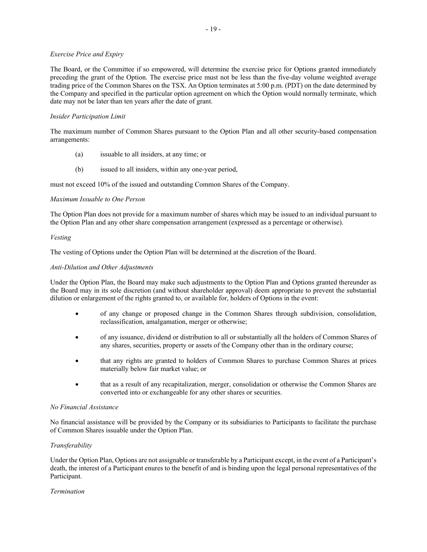#### *Exercise Price and Expiry*

The Board, or the Committee if so empowered, will determine the exercise price for Options granted immediately preceding the grant of the Option. The exercise price must not be less than the five-day volume weighted average trading price of the Common Shares on the TSX. An Option terminates at 5:00 p.m. (PDT) on the date determined by the Company and specified in the particular option agreement on which the Option would normally terminate, which date may not be later than ten years after the date of grant.

#### *Insider Participation Limit*

The maximum number of Common Shares pursuant to the Option Plan and all other security-based compensation arrangements:

- (a) issuable to all insiders, at any time; or
- (b) issued to all insiders, within any one-year period,

must not exceed 10% of the issued and outstanding Common Shares of the Company.

# *Maximum Issuable to One Person*

The Option Plan does not provide for a maximum number of shares which may be issued to an individual pursuant to the Option Plan and any other share compensation arrangement (expressed as a percentage or otherwise).

#### *Vesting*

The vesting of Options under the Option Plan will be determined at the discretion of the Board.

# *Anti-Dilution and Other Adjustments*

Under the Option Plan, the Board may make such adjustments to the Option Plan and Options granted thereunder as the Board may in its sole discretion (and without shareholder approval) deem appropriate to prevent the substantial dilution or enlargement of the rights granted to, or available for, holders of Options in the event:

- of any change or proposed change in the Common Shares through subdivision, consolidation, reclassification, amalgamation, merger or otherwise;
- of any issuance, dividend or distribution to all or substantially all the holders of Common Shares of any shares, securities, property or assets of the Company other than in the ordinary course;
- that any rights are granted to holders of Common Shares to purchase Common Shares at prices materially below fair market value; or
- that as a result of any recapitalization, merger, consolidation or otherwise the Common Shares are converted into or exchangeable for any other shares or securities.

#### *No Financial Assistance*

No financial assistance will be provided by the Company or its subsidiaries to Participants to facilitate the purchase of Common Shares issuable under the Option Plan.

# *Transferability*

Under the Option Plan, Options are not assignable or transferable by a Participant except, in the event of a Participant's death, the interest of a Participant enures to the benefit of and is binding upon the legal personal representatives of the Participant.

#### *Termination*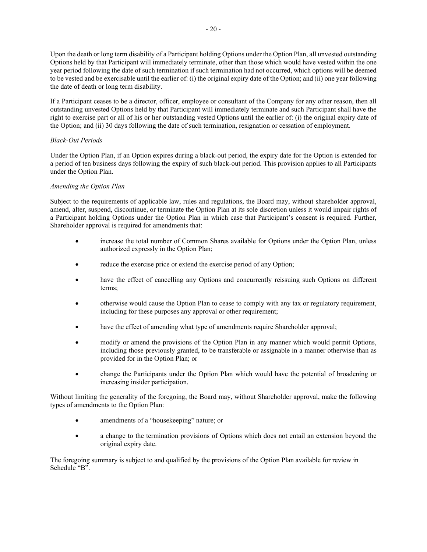Upon the death or long term disability of a Participant holding Options under the Option Plan, all unvested outstanding Options held by that Participant will immediately terminate, other than those which would have vested within the one year period following the date of such termination if such termination had not occurred, which options will be deemed to be vested and be exercisable until the earlier of: (i) the original expiry date of the Option; and (ii) one year following the date of death or long term disability.

If a Participant ceases to be a director, officer, employee or consultant of the Company for any other reason, then all outstanding unvested Options held by that Participant will immediately terminate and such Participant shall have the right to exercise part or all of his or her outstanding vested Options until the earlier of: (i) the original expiry date of the Option; and (ii) 30 days following the date of such termination, resignation or cessation of employment.

# *Black-Out Periods*

Under the Option Plan, if an Option expires during a black-out period, the expiry date for the Option is extended for a period of ten business days following the expiry of such black-out period. This provision applies to all Participants under the Option Plan.

# *Amending the Option Plan*

Subject to the requirements of applicable law, rules and regulations, the Board may, without shareholder approval, amend, alter, suspend, discontinue, or terminate the Option Plan at its sole discretion unless it would impair rights of a Participant holding Options under the Option Plan in which case that Participant's consent is required. Further, Shareholder approval is required for amendments that:

- increase the total number of Common Shares available for Options under the Option Plan, unless authorized expressly in the Option Plan;
- reduce the exercise price or extend the exercise period of any Option;
- have the effect of cancelling any Options and concurrently reissuing such Options on different terms;
- otherwise would cause the Option Plan to cease to comply with any tax or regulatory requirement, including for these purposes any approval or other requirement;
- have the effect of amending what type of amendments require Shareholder approval;
- modify or amend the provisions of the Option Plan in any manner which would permit Options, including those previously granted, to be transferable or assignable in a manner otherwise than as provided for in the Option Plan; or
- change the Participants under the Option Plan which would have the potential of broadening or increasing insider participation.

Without limiting the generality of the foregoing, the Board may, without Shareholder approval, make the following types of amendments to the Option Plan:

- amendments of a "housekeeping" nature; or
- a change to the termination provisions of Options which does not entail an extension beyond the original expiry date.

The foregoing summary is subject to and qualified by the provisions of the Option Plan available for review in Schedule "B".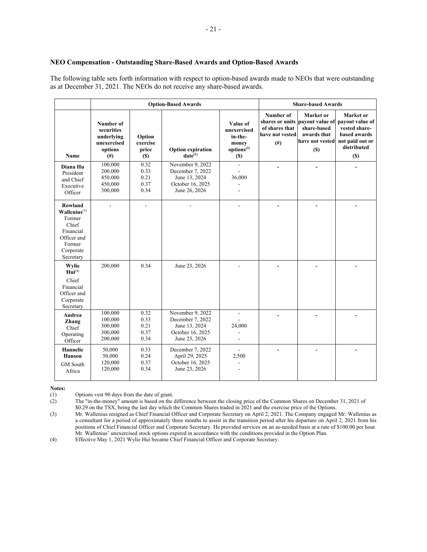#### **NEO Compensation - Outstanding Share-Based Awards and Option-Based Awards**

The following table sets forth information with respect to option-based awards made to NEOs that were outstanding as at December 31, 2021. The NEOs do not receive any share-based awards.

|                                                                                                                        |                                                                                      |                                       | <b>Option-Based Awards</b>                                                                 | <b>Share-based Awards</b>                                                    |                                                            |                                                                                                      |                                                                                                        |
|------------------------------------------------------------------------------------------------------------------------|--------------------------------------------------------------------------------------|---------------------------------------|--------------------------------------------------------------------------------------------|------------------------------------------------------------------------------|------------------------------------------------------------|------------------------------------------------------------------------------------------------------|--------------------------------------------------------------------------------------------------------|
| Name                                                                                                                   | Number of<br>securities<br>underlying<br>unexercised<br>options<br>(# <sup>2</sup> ) | Option<br>exercise<br>price<br>$(\$)$ | <b>Option expiration</b><br>$date^{(1)}$                                                   | Value of<br>unexercised<br>in-the-<br>money<br>options <sup>(2)</sup><br>(S) | Number of<br>of shares that<br>have not vested<br>$^{(#)}$ | Market or<br>shares or units payout value of<br>share-based<br>awards that<br>have not vested<br>(S) | Market or<br>payout value of<br>vested share-<br>based awards<br>not paid out or<br>distributed<br>(S) |
| Diana Hu<br>President<br>and Chief<br>Executive<br>Officer                                                             | 100,000<br>200,000<br>450,000<br>450,000<br>300,000                                  | 0.32<br>0.33<br>0.21<br>0.37<br>0.34  | November 9, 2022<br>December 7, 2022<br>June 13, 2024<br>October 16, 2025<br>June 26, 2026 | $\overline{a}$<br>36,000                                                     |                                                            |                                                                                                      |                                                                                                        |
| Rowland<br>Wallenius <sup>(3)</sup><br>Former<br>Chief<br>Financial<br>Officer and<br>Former<br>Corporate<br>Secretary |                                                                                      |                                       |                                                                                            |                                                                              |                                                            |                                                                                                      |                                                                                                        |
| Wylie<br>$\mathbf{Hui}^{(4)}$<br>Chief<br>Financial<br>Officer and<br>Corporate<br>Secretary                           | 200,000                                                                              | 0.34                                  | June 23, 2026                                                                              |                                                                              |                                                            |                                                                                                      |                                                                                                        |
| Andrea<br>Zhang<br>Chief<br>Operating<br>Officer                                                                       | 100,000<br>100,000<br>300,000<br>300,000<br>200,000                                  | 0.32<br>0.33<br>0.21<br>0.37<br>0.34  | November 9, 2022<br>December 7, 2022<br>June 13, 2024<br>October 16, 2025<br>June 23, 2026 | 24,000                                                                       |                                                            |                                                                                                      |                                                                                                        |
| <b>Hannelie</b><br><b>Hanson</b><br><b>GM</b> South<br>Africa                                                          | 50,000<br>50,000<br>120,000<br>120,000                                               | 0.33<br>0.24<br>0.37<br>0.34          | December 7, 2022<br>April 29, 2025<br>October 16, 2025<br>June 23, 2026                    | 2,500                                                                        |                                                            |                                                                                                      |                                                                                                        |

**Notes:** 

(1) Options vest 90 days from the date of grant.

(2) The "in-the-money" amount is based on the difference between the closing price of the Common Shares on December 31, 2021 of \$0.29 on the TSX, being the last day which the Common Shares traded in 2021 and the exercise price of the Options.

(3) Mr. Wallenius resigned as Chief Financial Officer and Corporate Secretary on April 2, 2021. The Company engaged Mr. Wallenius as a consultant for a period of approximately three months to assist in the transition period after his departure on April 2, 2021 from his positions of Chief Financial Officer and Corporate Secretary. He provided services on an as-needed basis at a rate of \$100.00 per hour. Mr. Wallenius' unexercised stock options expired in accordance with the conditions provided in the Option Plan.

(4) Effective May 1, 2021 Wylie Hui became Chief Financial Officer and Corporate Secretary.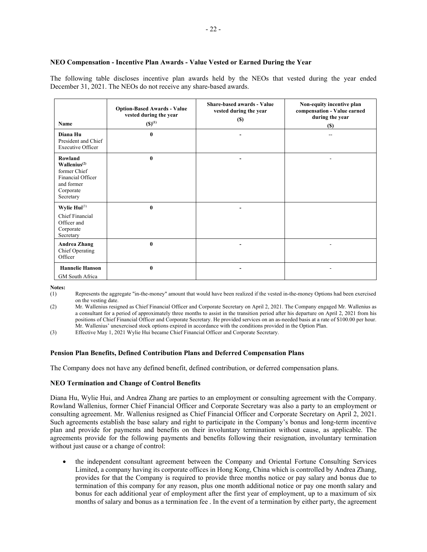#### **NEO Compensation - Incentive Plan Awards - Value Vested or Earned During the Year**

The following table discloses incentive plan awards held by the NEOs that vested during the year ended December 31, 2021. The NEOs do not receive any share-based awards.

| Name                                                                                                             | <b>Option-Based Awards - Value</b><br>vested during the year<br>$(S)^{(1)}$ | Share-based awards - Value<br>vested during the year<br><b>(\$)</b> | Non-equity incentive plan<br>compensation - Value earned<br>during the year<br><b>(\$)</b> |
|------------------------------------------------------------------------------------------------------------------|-----------------------------------------------------------------------------|---------------------------------------------------------------------|--------------------------------------------------------------------------------------------|
| Diana Hu<br>President and Chief<br><b>Executive Officer</b>                                                      | $\mathbf{0}$                                                                |                                                                     |                                                                                            |
| Rowland<br>Wallenius <sup>(2)</sup><br>former Chief<br>Financial Officer<br>and former<br>Corporate<br>Secretary | $\bf{0}$                                                                    |                                                                     |                                                                                            |
| Wylie $Hui^{(3)}$<br>Chief Financial<br>Officer and<br>Corporate<br>Secretary                                    | $\bf{0}$                                                                    |                                                                     |                                                                                            |
| <b>Andrea Zhang</b><br>Chief Operating<br>Officer                                                                | $\bf{0}$                                                                    |                                                                     |                                                                                            |
| <b>Hannelie Hanson</b><br>GM South Africa                                                                        | $\bf{0}$                                                                    |                                                                     |                                                                                            |

**Notes:** 

- (1) Represents the aggregate "in-the-money" amount that would have been realized if the vested in-the-money Options had been exercised on the vesting date.
- (2) Mr. Wallenius resigned as Chief Financial Officer and Corporate Secretary on April 2, 2021. The Company engaged Mr. Wallenius as a consultant for a period of approximately three months to assist in the transition period after his departure on April 2, 2021 from his positions of Chief Financial Officer and Corporate Secretary. He provided services on an as-needed basis at a rate of \$100.00 per hour. Mr. Wallenius' unexercised stock options expired in accordance with the conditions provided in the Option Plan.

(3) Effective May 1, 2021 Wylie Hui became Chief Financial Officer and Corporate Secretary.

#### **Pension Plan Benefits, Defined Contribution Plans and Deferred Compensation Plans**

The Company does not have any defined benefit, defined contribution, or deferred compensation plans.

#### **NEO Termination and Change of Control Benefits**

Diana Hu, Wylie Hui, and Andrea Zhang are parties to an employment or consulting agreement with the Company. Rowland Wallenius, former Chief Financial Officer and Corporate Secretary was also a party to an employment or consulting agreement. Mr. Wallenius resigned as Chief Financial Officer and Corporate Secretary on April 2, 2021. Such agreements establish the base salary and right to participate in the Company's bonus and long-term incentive plan and provide for payments and benefits on their involuntary termination without cause, as applicable. The agreements provide for the following payments and benefits following their resignation, involuntary termination without just cause or a change of control:

 the independent consultant agreement between the Company and Oriental Fortune Consulting Services Limited, a company having its corporate offices in Hong Kong, China which is controlled by Andrea Zhang, provides for that the Company is required to provide three months notice or pay salary and bonus due to termination of this company for any reason, plus one month additional notice or pay one month salary and bonus for each additional year of employment after the first year of employment, up to a maximum of six months of salary and bonus as a termination fee . In the event of a termination by either party, the agreement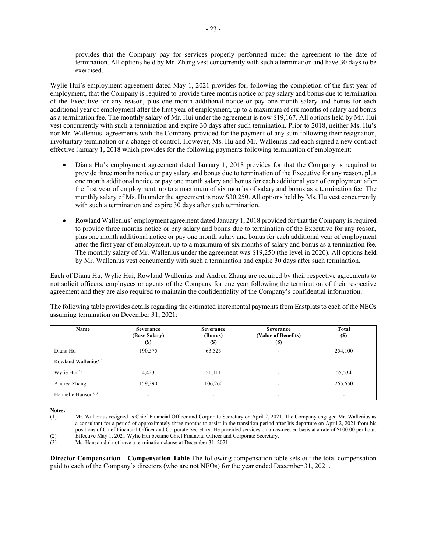provides that the Company pay for services properly performed under the agreement to the date of termination. All options held by Mr. Zhang vest concurrently with such a termination and have 30 days to be exercised.

Wylie Hui's employment agreement dated May 1, 2021 provides for, following the completion of the first year of employment, that the Company is required to provide three months notice or pay salary and bonus due to termination of the Executive for any reason, plus one month additional notice or pay one month salary and bonus for each additional year of employment after the first year of employment, up to a maximum of six months of salary and bonus as a termination fee. The monthly salary of Mr. Hui under the agreement is now \$19,167. All options held by Mr. Hui vest concurrently with such a termination and expire 30 days after such termination. Prior to 2018, neither Ms. Hu's nor Mr. Wallenius' agreements with the Company provided for the payment of any sum following their resignation, involuntary termination or a change of control. However, Ms. Hu and Mr. Wallenius had each signed a new contract effective January 1, 2018 which provides for the following payments following termination of employment:

- Diana Hu's employment agreement dated January 1, 2018 provides for that the Company is required to provide three months notice or pay salary and bonus due to termination of the Executive for any reason, plus one month additional notice or pay one month salary and bonus for each additional year of employment after the first year of employment, up to a maximum of six months of salary and bonus as a termination fee. The monthly salary of Ms. Hu under the agreement is now \$30,250. All options held by Ms. Hu vest concurrently with such a termination and expire 30 days after such termination.
- Rowland Wallenius' employment agreement dated January 1, 2018 provided for that the Company is required to provide three months notice or pay salary and bonus due to termination of the Executive for any reason, plus one month additional notice or pay one month salary and bonus for each additional year of employment after the first year of employment, up to a maximum of six months of salary and bonus as a termination fee. The monthly salary of Mr. Wallenius under the agreement was \$19,250 (the level in 2020). All options held by Mr. Wallenius vest concurrently with such a termination and expire 30 days after such termination.

Each of Diana Hu, Wylie Hui, Rowland Wallenius and Andrea Zhang are required by their respective agreements to not solicit officers, employees or agents of the Company for one year following the termination of their respective agreement and they are also required to maintain the confidentiality of the Company's confidential information.

| The following table provides details regarding the estimated incremental payments from Eastplats to each of the NEOs |  |
|----------------------------------------------------------------------------------------------------------------------|--|
| assuming termination on December 31, 2021:                                                                           |  |

| Name                    | Severance<br>(Base Salary)<br><b>(S)</b> | Severance<br>(Bonus)<br>(S) | <b>Severance</b><br>(Value of Benefits)<br>(S) | <b>Total</b><br><b>(\$)</b> |
|-------------------------|------------------------------------------|-----------------------------|------------------------------------------------|-----------------------------|
| Diana Hu                | 190,575                                  | 63,525                      |                                                | 254,100                     |
| Rowland Wallenius $(1)$ | ۰                                        |                             | ۰                                              |                             |
| Wylie $Hui(2)$          | 4.423                                    | 51,111                      | ۰                                              | 55,534                      |
| Andrea Zhang            | 159,390                                  | 106,260                     | -                                              | 265,650                     |
| Hannelie Hanson $(3)$   | ۰                                        | ۰                           | ۰                                              |                             |

**Notes:** 

(3) Ms. Hanson did not have a termination clause at December 31, 2021.

**Director Compensation – Compensation Table** The following compensation table sets out the total compensation paid to each of the Company's directors (who are not NEOs) for the year ended December 31, 2021.

<sup>(1)</sup> Mr. Wallenius resigned as Chief Financial Officer and Corporate Secretary on April 2, 2021. The Company engaged Mr. Wallenius as a consultant for a period of approximately three months to assist in the transition period after his departure on April 2, 2021 from his positions of Chief Financial Officer and Corporate Secretary. He provided services on an as-needed basis at a rate of \$100.00 per hour. (2) Effective May 1, 2021 Wylie Hui became Chief Financial Officer and Corporate Secretary.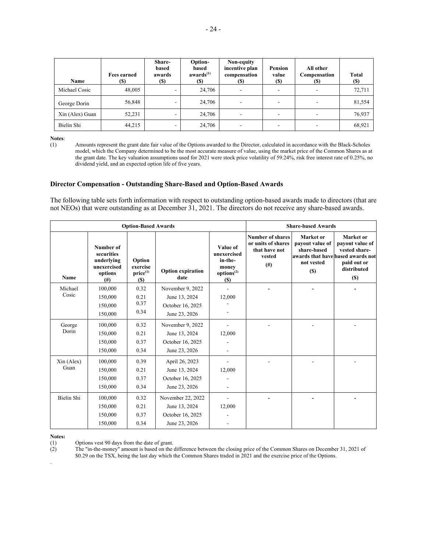| <b>Name</b>     | <b>Fees earned</b><br><b>(\$)</b> | <b>Share-</b><br>based<br>awards<br>(S) | Option-<br>based<br>awards <sup>(1)</sup><br><b>(S)</b> | Non-equity<br>incentive plan<br>compensation<br>(\$) | Pension<br>value<br><b>(S)</b> | All other<br>Compensation<br>(S) | Total<br><b>(S)</b> |
|-----------------|-----------------------------------|-----------------------------------------|---------------------------------------------------------|------------------------------------------------------|--------------------------------|----------------------------------|---------------------|
| Michael Cosic   | 48,005                            | $\overline{\phantom{a}}$                | 24,706                                                  |                                                      |                                | ٠                                | 72,711              |
| George Dorin    | 56,848                            |                                         | 24,706                                                  |                                                      |                                | -                                | 81,554              |
| Xin (Alex) Guan | 52,231                            |                                         | 24,706                                                  |                                                      |                                |                                  | 76,937              |
| Bielin Shi      | 44.215                            | $\overline{\phantom{a}}$                | 24,706                                                  |                                                      |                                | -                                | 68,921              |

**Notes:**<br>(1)

Amounts represent the grant date fair value of the Options awarded to the Director, calculated in accordance with the Black-Scholes model, which the Company determined to be the most accurate measure of value, using the market price of the Common Shares as at the grant date. The key valuation assumptions used for 2021 were stock price volatility of 59.24%, risk free interest rate of 0.25%, no dividend yield, and an expected option life of five years.

#### **Director Compensation - Outstanding Share-Based and Option-Based Awards**

The following table sets forth information with respect to outstanding option-based awards made to directors (that are not NEOs) that were outstanding as at December 31, 2021. The directors do not receive any share-based awards.

|            |                                                                             | <b>Option-Based Awards</b>                 | <b>Share-based Awards</b>        |                                                                                      |                                                                          |                                                                                                               |                                                                                           |
|------------|-----------------------------------------------------------------------------|--------------------------------------------|----------------------------------|--------------------------------------------------------------------------------------|--------------------------------------------------------------------------|---------------------------------------------------------------------------------------------------------------|-------------------------------------------------------------------------------------------|
| Name       | Number of<br>securities<br>underlying<br>unexercised<br>options<br>$^{(#)}$ | Option<br>exercise<br>$price^{(1)}$<br>(S) | <b>Option expiration</b><br>date | Value of<br>unexercised<br>in-the-<br>money<br>options <sup>(2)</sup><br><b>(\$)</b> | Number of shares<br>or units of shares<br>that have not<br>vested<br>(#) | Market or<br>payout value of<br>share-based<br>awards that have based awards not<br>not vested<br><b>(\$)</b> | <b>Market</b> or<br>payout value of<br>vested share-<br>paid out or<br>distributed<br>(S) |
| Michael    | 100,000                                                                     | 0.32                                       | November 9, 2022                 |                                                                                      |                                                                          |                                                                                                               |                                                                                           |
| Cosic      | 150,000                                                                     | 0.21                                       | June 13, 2024                    | 12,000                                                                               |                                                                          |                                                                                                               |                                                                                           |
|            | 150,000                                                                     | 0.37                                       | October 16, 2025                 |                                                                                      |                                                                          |                                                                                                               |                                                                                           |
|            | 150,000                                                                     | 0.34                                       | June 23, 2026                    |                                                                                      |                                                                          |                                                                                                               |                                                                                           |
| George     | 100,000                                                                     | 0.32                                       | November 9, 2022                 |                                                                                      |                                                                          |                                                                                                               |                                                                                           |
| Dorin      | 150,000                                                                     | 0.21                                       | June 13, 2024                    | 12,000                                                                               |                                                                          |                                                                                                               |                                                                                           |
|            | 150,000                                                                     | 0.37                                       | October 16, 2025                 |                                                                                      |                                                                          |                                                                                                               |                                                                                           |
|            | 150,000                                                                     | 0.34                                       | June 23, 2026                    |                                                                                      |                                                                          |                                                                                                               |                                                                                           |
| Xin (Alex) | 100,000                                                                     | 0.39                                       | April 26, 2023                   |                                                                                      |                                                                          |                                                                                                               |                                                                                           |
| Guan       | 150,000                                                                     | 0.21                                       | June 13, 2024                    | 12,000                                                                               |                                                                          |                                                                                                               |                                                                                           |
|            | 150,000                                                                     | 0.37                                       | October 16, 2025                 |                                                                                      |                                                                          |                                                                                                               |                                                                                           |
|            | 150,000                                                                     | 0.34                                       | June 23, 2026                    |                                                                                      |                                                                          |                                                                                                               |                                                                                           |
| Bielin Shi | 100,000                                                                     | 0.32                                       | November 22, 2022                |                                                                                      |                                                                          |                                                                                                               |                                                                                           |
|            | 150,000                                                                     | 0.21                                       | June 13, 2024                    | 12,000                                                                               |                                                                          |                                                                                                               |                                                                                           |
|            | 150,000                                                                     | 0.37                                       | October 16, 2025                 |                                                                                      |                                                                          |                                                                                                               |                                                                                           |
|            | 150,000                                                                     | 0.34                                       | June 23, 2026                    |                                                                                      |                                                                          |                                                                                                               |                                                                                           |

**Notes:** 

.

(1) Options vest 90 days from the date of grant.<br>
(2) The "in-the-money" amount is based on the The "in-the-money" amount is based on the difference between the closing price of the Common Shares on December 31, 2021 of \$0.29 on the TSX, being the last day which the Common Shares traded in 2021 and the exercise price of the Options.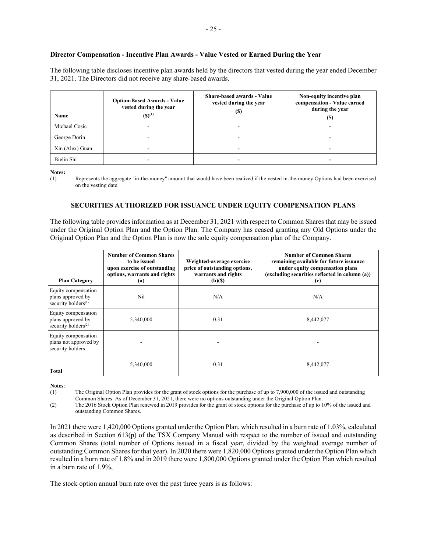# **Director Compensation - Incentive Plan Awards - Value Vested or Earned During the Year**

The following table discloses incentive plan awards held by the directors that vested during the year ended December 31, 2021. The Directors did not receive any share-based awards.

| Name            | <b>Option-Based Awards - Value</b><br>vested during the year<br>$(S)^{(1)}$ | <b>Share-based awards - Value</b><br>vested during the year<br>(\$ | Non-equity incentive plan<br>compensation - Value earned<br>during the year<br>(S) |
|-----------------|-----------------------------------------------------------------------------|--------------------------------------------------------------------|------------------------------------------------------------------------------------|
| Michael Cosic   | $\overline{\phantom{0}}$                                                    |                                                                    |                                                                                    |
| George Dorin    | $\overline{\phantom{0}}$                                                    |                                                                    |                                                                                    |
| Xin (Alex) Guan | -                                                                           |                                                                    |                                                                                    |
| Bielin Shi      |                                                                             |                                                                    |                                                                                    |

**Notes:** 

(1) Represents the aggregate "in-the-money" amount that would have been realized if the vested in-the-money Options had been exercised on the vesting date.

# **SECURITIES AUTHORIZED FOR ISSUANCE UNDER EQUITY COMPENSATION PLANS**

The following table provides information as at December 31, 2021 with respect to Common Shares that may be issued under the Original Option Plan and the Option Plan. The Company has ceased granting any Old Options under the Original Option Plan and the Option Plan is now the sole equity compensation plan of the Company.

| <b>Plan Category</b>                                                        | <b>Number of Common Shares</b><br>to be issued<br>upon exercise of outstanding<br>options, warrants and rights<br>(a) | Weighted-average exercise<br>price of outstanding options,<br>warrants and rights<br>$(b)(\$)$ | <b>Number of Common Shares</b><br>remaining available for future issuance<br>under equity compensation plans<br>(excluding securities reflected in column (a))<br>(c) |
|-----------------------------------------------------------------------------|-----------------------------------------------------------------------------------------------------------------------|------------------------------------------------------------------------------------------------|-----------------------------------------------------------------------------------------------------------------------------------------------------------------------|
| Equity compensation<br>plans approved by<br>security holders <sup>(1)</sup> | Nil                                                                                                                   | N/A                                                                                            | N/A                                                                                                                                                                   |
| Equity compensation<br>plans approved by<br>security holders <sup>(2)</sup> | 5,340,000                                                                                                             | 0.31                                                                                           | 8,442,077                                                                                                                                                             |
| Equity compensation<br>plans not approved by<br>security holders            |                                                                                                                       |                                                                                                |                                                                                                                                                                       |
| Total                                                                       | 5,340,000                                                                                                             | 0.31                                                                                           | 8,442,077                                                                                                                                                             |

**Notes**:

(1) The Original Option Plan provides for the grant of stock options for the purchase of up to 7,900,000 of the issued and outstanding Common Shares. As of December 31, 2021, there were no options outstanding under the Original Option Plan.

(2) The 2016 Stock Option Plan renewed in 2019 provides for the grant of stock options for the purchase of up to 10% of the issued and outstanding Common Shares.

In 2021 there were 1,420,000 Options granted under the Option Plan, which resulted in a burn rate of 1.03%, calculated as described in Section 613(p) of the TSX Company Manual with respect to the number of issued and outstanding Common Shares (total number of Options issued in a fiscal year, divided by the weighted average number of outstanding Common Shares for that year). In 2020 there were 1,820,000 Options granted under the Option Plan which resulted in a burn rate of 1.8% and in 2019 there were 1,800,000 Options granted under the Option Plan which resulted in a burn rate of 1.9%,

The stock option annual burn rate over the past three years is as follows: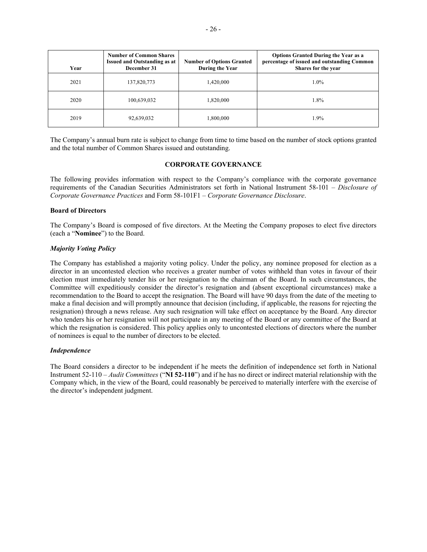| Year | <b>Number of Common Shares</b><br><b>Issued and Outstanding as at</b><br>December 31 | <b>Number of Options Granted</b><br>During the Year | <b>Options Granted During the Year as a</b><br>percentage of issued and outstanding Common<br>Shares for the year |
|------|--------------------------------------------------------------------------------------|-----------------------------------------------------|-------------------------------------------------------------------------------------------------------------------|
| 2021 | 137,820,773                                                                          | 1,420,000                                           | $1.0\%$                                                                                                           |
| 2020 | 100,639,032                                                                          | 1,820,000                                           | 1.8%                                                                                                              |
| 2019 | 92,639,032                                                                           | 1,800,000                                           | 1.9%                                                                                                              |

The Company's annual burn rate is subject to change from time to time based on the number of stock options granted and the total number of Common Shares issued and outstanding.

#### **CORPORATE GOVERNANCE**

The following provides information with respect to the Company's compliance with the corporate governance requirements of the Canadian Securities Administrators set forth in National Instrument 58-101 – *Disclosure of Corporate Governance Practices* and Form 58-101F1 – *Corporate Governance Disclosure*.

#### **Board of Directors**

The Company's Board is composed of five directors. At the Meeting the Company proposes to elect five directors (each a "**Nominee**") to the Board.

#### *Majority Voting Policy*

The Company has established a majority voting policy. Under the policy, any nominee proposed for election as a director in an uncontested election who receives a greater number of votes withheld than votes in favour of their election must immediately tender his or her resignation to the chairman of the Board. In such circumstances, the Committee will expeditiously consider the director's resignation and (absent exceptional circumstances) make a recommendation to the Board to accept the resignation. The Board will have 90 days from the date of the meeting to make a final decision and will promptly announce that decision (including, if applicable, the reasons for rejecting the resignation) through a news release. Any such resignation will take effect on acceptance by the Board. Any director who tenders his or her resignation will not participate in any meeting of the Board or any committee of the Board at which the resignation is considered. This policy applies only to uncontested elections of directors where the number of nominees is equal to the number of directors to be elected.

#### *Independence*

The Board considers a director to be independent if he meets the definition of independence set forth in National Instrument 52-110 – *Audit Committees* ("**NI 52-110**") and if he has no direct or indirect material relationship with the Company which, in the view of the Board, could reasonably be perceived to materially interfere with the exercise of the director's independent judgment.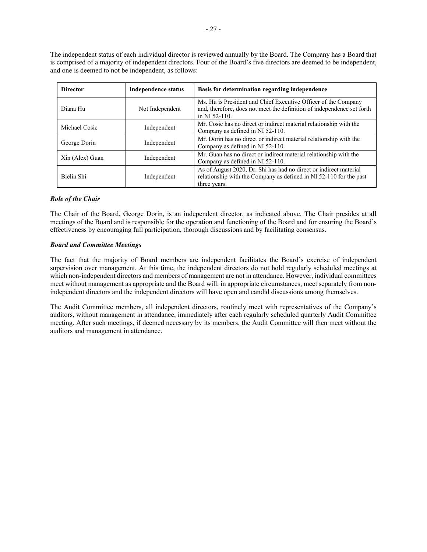The independent status of each individual director is reviewed annually by the Board. The Company has a Board that is comprised of a majority of independent directors. Four of the Board's five directors are deemed to be independent, and one is deemed to not be independent, as follows:

| <b>Director</b>             | <b>Independence status</b> | Basis for determination regarding independence                                                                                                            |  |  |
|-----------------------------|----------------------------|-----------------------------------------------------------------------------------------------------------------------------------------------------------|--|--|
| Diana Hu<br>Not Independent |                            | Ms. Hu is President and Chief Executive Officer of the Company<br>and, therefore, does not meet the definition of independence set forth<br>in NI 52-110. |  |  |
| Michael Cosic               |                            | Mr. Cosic has no direct or indirect material relationship with the                                                                                        |  |  |
| Independent                 |                            | Company as defined in NI 52-110.                                                                                                                          |  |  |
| George Dorin                |                            | Mr. Dorin has no direct or indirect material relationship with the                                                                                        |  |  |
| Independent                 |                            | Company as defined in NI 52-110.                                                                                                                          |  |  |
| Xin (Alex) Guan             |                            | Mr. Guan has no direct or indirect material relationship with the                                                                                         |  |  |
| Independent                 |                            | Company as defined in NI 52-110.                                                                                                                          |  |  |
| Bielin Shi                  | Independent                | As of August 2020, Dr. Shi has had no direct or indirect material<br>relationship with the Company as defined in NI 52-110 for the past<br>three vears.   |  |  |

# *Role of the Chair*

The Chair of the Board, George Dorin, is an independent director, as indicated above. The Chair presides at all meetings of the Board and is responsible for the operation and functioning of the Board and for ensuring the Board's effectiveness by encouraging full participation, thorough discussions and by facilitating consensus.

# *Board and Committee Meetings*

The fact that the majority of Board members are independent facilitates the Board's exercise of independent supervision over management. At this time, the independent directors do not hold regularly scheduled meetings at which non-independent directors and members of management are not in attendance. However, individual committees meet without management as appropriate and the Board will, in appropriate circumstances, meet separately from nonindependent directors and the independent directors will have open and candid discussions among themselves.

The Audit Committee members, all independent directors, routinely meet with representatives of the Company's auditors, without management in attendance, immediately after each regularly scheduled quarterly Audit Committee meeting. After such meetings, if deemed necessary by its members, the Audit Committee will then meet without the auditors and management in attendance.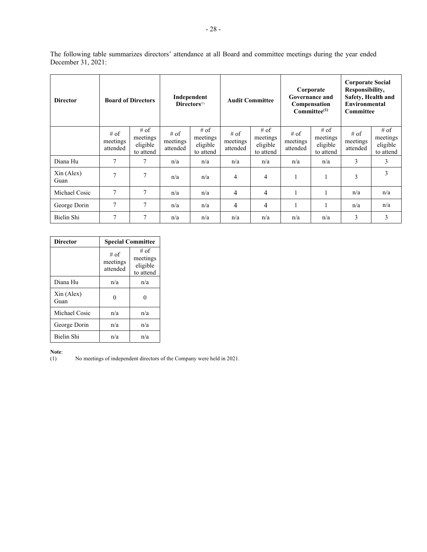The following table summarizes directors' attendance at all Board and committee meetings during the year ended December 31, 2021:

| <b>Director</b>               |                                | <b>Board of Directors</b>                 |                                | Independent<br>Directors <sup>(1)</sup>     |                              | <b>Audit Committee</b>                      | Corporate<br>Governance and<br><b>Compensation</b><br>$Committee^{(1)}$ |                                             | <b>Corporate Social</b><br>Responsibility,<br>Safety, Health and<br>Environmental<br>Committee |                                           |
|-------------------------------|--------------------------------|-------------------------------------------|--------------------------------|---------------------------------------------|------------------------------|---------------------------------------------|-------------------------------------------------------------------------|---------------------------------------------|------------------------------------------------------------------------------------------------|-------------------------------------------|
|                               | $#$ of<br>meetings<br>attended | # of<br>meetings<br>eligible<br>to attend | $#$ of<br>meetings<br>attended | $#$ of<br>meetings<br>eligible<br>to attend | # of<br>meetings<br>attended | $#$ of<br>meetings<br>eligible<br>to attend | # of<br>meetings<br>attended                                            | $#$ of<br>meetings<br>eligible<br>to attend | # of<br>meetings<br>attended                                                                   | # of<br>meetings<br>eligible<br>to attend |
| Diana Hu                      | 7                              | 7                                         | n/a                            | n/a                                         | n/a                          | n/a                                         | n/a                                                                     | n/a                                         | 3                                                                                              | 3                                         |
| $\mathrm{Xin}$ (Alex)<br>Guan | $\overline{7}$                 | 7                                         | n/a                            | n/a                                         | $\overline{4}$               | 4                                           | 1                                                                       |                                             | 3                                                                                              | 3                                         |
| Michael Cosic                 | $\overline{7}$                 | 7                                         | n/a                            | n/a                                         | 4                            | 4                                           | 1                                                                       |                                             | n/a                                                                                            | n/a                                       |
| George Dorin                  | $\overline{7}$                 | 7                                         | n/a                            | n/a                                         | $\overline{4}$               | 4                                           | 1                                                                       |                                             | n/a                                                                                            | n/a                                       |
| Bielin Shi                    | 7                              | $\tau$                                    | n/a                            | n/a                                         | n/a                          | n/a                                         | n/a                                                                     | n/a                                         | 3                                                                                              | 3                                         |

| <b>Director</b>    | <b>Special Committee</b>       |                                           |  |  |  |
|--------------------|--------------------------------|-------------------------------------------|--|--|--|
|                    | $#$ of<br>meetings<br>attended | # of<br>meetings<br>eligible<br>to attend |  |  |  |
| Diana Hu           | n/a                            | n/a                                       |  |  |  |
| Xin (Alex)<br>Guan |                                |                                           |  |  |  |
| Michael Cosic      | n/a                            | n/a                                       |  |  |  |
| George Dorin       | n/a                            | n/a                                       |  |  |  |
| Bielin Shi         | n/a                            | n/a                                       |  |  |  |

**Note:**<br>(1)

No meetings of independent directors of the Company were held in 2021.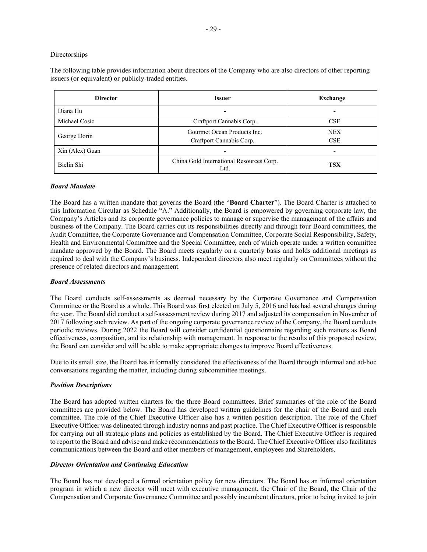#### Directorships

The following table provides information about directors of the Company who are also directors of other reporting issuers (or equivalent) or publicly-traded entities.

| <b>Director</b> | <b>Issuer</b>                                           | Exchange                 |
|-----------------|---------------------------------------------------------|--------------------------|
| Diana Hu        |                                                         |                          |
| Michael Cosic   | Craftport Cannabis Corp.                                | <b>CSE</b>               |
| George Dorin    | Gourmet Ocean Products Inc.<br>Craftport Cannabis Corp. | <b>NEX</b><br><b>CSE</b> |
| Xin (Alex) Guan |                                                         |                          |
| Bielin Shi      | China Gold International Resources Corp.<br>Ltd.        | <b>TSX</b>               |

#### *Board Mandate*

The Board has a written mandate that governs the Board (the "**Board Charter**"). The Board Charter is attached to this Information Circular as Schedule "A." Additionally, the Board is empowered by governing corporate law, the Company's Articles and its corporate governance policies to manage or supervise the management of the affairs and business of the Company. The Board carries out its responsibilities directly and through four Board committees, the Audit Committee, the Corporate Governance and Compensation Committee, Corporate Social Responsibility, Safety, Health and Environmental Committee and the Special Committee, each of which operate under a written committee mandate approved by the Board. The Board meets regularly on a quarterly basis and holds additional meetings as required to deal with the Company's business. Independent directors also meet regularly on Committees without the presence of related directors and management.

#### *Board Assessments*

The Board conducts self-assessments as deemed necessary by the Corporate Governance and Compensation Committee or the Board as a whole. This Board was first elected on July 5, 2016 and has had several changes during the year. The Board did conduct a self-assessment review during 2017 and adjusted its compensation in November of 2017 following such review. As part of the ongoing corporate governance review of the Company, the Board conducts periodic reviews. During 2022 the Board will consider confidential questionnaire regarding such matters as Board effectiveness, composition, and its relationship with management. In response to the results of this proposed review, the Board can consider and will be able to make appropriate changes to improve Board effectiveness.

Due to its small size, the Board has informally considered the effectiveness of the Board through informal and ad-hoc conversations regarding the matter, including during subcommittee meetings.

#### *Position Descriptions*

The Board has adopted written charters for the three Board committees. Brief summaries of the role of the Board committees are provided below. The Board has developed written guidelines for the chair of the Board and each committee. The role of the Chief Executive Officer also has a written position description. The role of the Chief Executive Officer was delineated through industry norms and past practice. The Chief Executive Officer is responsible for carrying out all strategic plans and policies as established by the Board. The Chief Executive Officer is required to report to the Board and advise and make recommendations to the Board. The Chief Executive Officer also facilitates communications between the Board and other members of management, employees and Shareholders.

#### *Director Orientation and Continuing Education*

The Board has not developed a formal orientation policy for new directors. The Board has an informal orientation program in which a new director will meet with executive management, the Chair of the Board, the Chair of the Compensation and Corporate Governance Committee and possibly incumbent directors, prior to being invited to join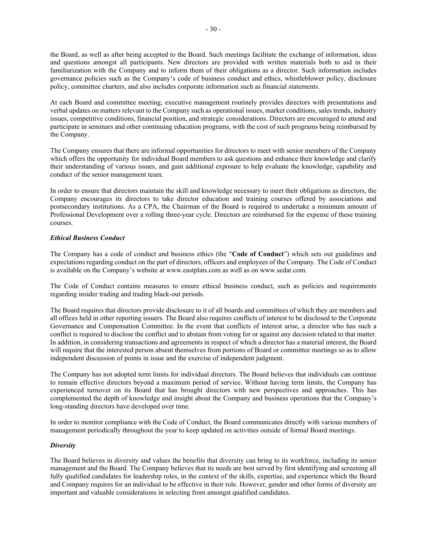the Board, as well as after being accepted to the Board. Such meetings facilitate the exchange of information, ideas and questions amongst all participants. New directors are provided with written materials both to aid in their familiarization with the Company and to inform them of their obligations as a director. Such information includes governance policies such as the Company's code of business conduct and ethics, whistleblower policy, disclosure policy, committee charters, and also includes corporate information such as financial statements.

At each Board and committee meeting, executive management routinely provides directors with presentations and verbal updates on matters relevant to the Company such as operational issues, market conditions, sales trends, industry issues, competitive conditions, financial position, and strategic considerations. Directors are encouraged to attend and participate in seminars and other continuing education programs, with the cost of such programs being reimbursed by the Company.

The Company ensures that there are informal opportunities for directors to meet with senior members of the Company which offers the opportunity for individual Board members to ask questions and enhance their knowledge and clarify their understanding of various issues, and gain additional exposure to help evaluate the knowledge, capability and conduct of the senior management team.

In order to ensure that directors maintain the skill and knowledge necessary to meet their obligations as directors, the Company encourages its directors to take director education and training courses offered by associations and postsecondary institutions. As a CPA, the Chairman of the Board is required to undertake a minimum amount of Professional Development over a rolling three-year cycle. Directors are reimbursed for the expense of these training courses.

# *Ethical Business Conduct*

The Company has a code of conduct and business ethics (the "**Code of Conduct**") which sets out guidelines and expectations regarding conduct on the part of directors, officers and employees of the Company. The Code of Conduct is available on the Company's website at www.eastplats.com as well as on www.sedar.com.

The Code of Conduct contains measures to ensure ethical business conduct, such as policies and requirements regarding insider trading and trading black-out periods.

The Board requires that directors provide disclosure to it of all boards and committees of which they are members and all offices held in other reporting issuers. The Board also requires conflicts of interest to be disclosed to the Corporate Governance and Compensation Committee. In the event that conflicts of interest arise, a director who has such a conflict is required to disclose the conflict and to abstain from voting for or against any decision related to that matter. In addition, in considering transactions and agreements in respect of which a director has a material interest, the Board will require that the interested person absent themselves from portions of Board or committee meetings so as to allow independent discussion of points in issue and the exercise of independent judgment.

The Company has not adopted term limits for individual directors. The Board believes that individuals can continue to remain effective directors beyond a maximum period of service. Without having term limits, the Company has experienced turnover on its Board that has brought directors with new perspectives and approaches. This has complemented the depth of knowledge and insight about the Company and business operations that the Company's long-standing directors have developed over time.

In order to monitor compliance with the Code of Conduct, the Board communicates directly with various members of management periodically throughout the year to keep updated on activities outside of formal Board meetings.

#### *Diversity*

The Board believes in diversity and values the benefits that diversity can bring to its workforce, including its senior management and the Board. The Company believes that its needs are best served by first identifying and screening all fully qualified candidates for leadership roles, in the context of the skills, expertise, and experience which the Board and Company requires for an individual to be effective in their role. However, gender and other forms of diversity are important and valuable considerations in selecting from amongst qualified candidates.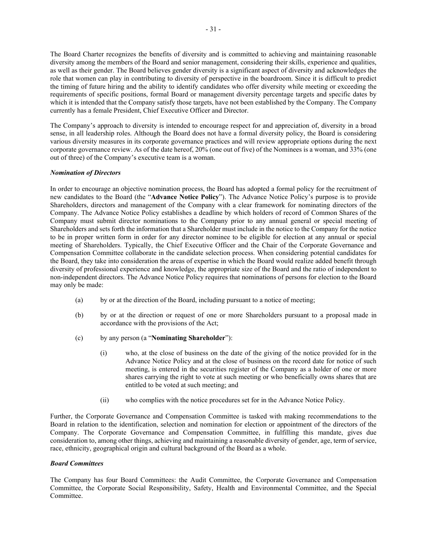The Board Charter recognizes the benefits of diversity and is committed to achieving and maintaining reasonable diversity among the members of the Board and senior management, considering their skills, experience and qualities, as well as their gender. The Board believes gender diversity is a significant aspect of diversity and acknowledges the role that women can play in contributing to diversity of perspective in the boardroom. Since it is difficult to predict the timing of future hiring and the ability to identify candidates who offer diversity while meeting or exceeding the requirements of specific positions, formal Board or management diversity percentage targets and specific dates by which it is intended that the Company satisfy those targets, have not been established by the Company. The Company currently has a female President, Chief Executive Officer and Director.

The Company's approach to diversity is intended to encourage respect for and appreciation of, diversity in a broad sense, in all leadership roles. Although the Board does not have a formal diversity policy, the Board is considering various diversity measures in its corporate governance practices and will review appropriate options during the next corporate governance review. As of the date hereof, 20% (one out of five) of the Nominees is a woman, and 33% (one out of three) of the Company's executive team is a woman.

# *Nomination of Directors*

In order to encourage an objective nomination process, the Board has adopted a formal policy for the recruitment of new candidates to the Board (the "**Advance Notice Policy**"). The Advance Notice Policy's purpose is to provide Shareholders, directors and management of the Company with a clear framework for nominating directors of the Company. The Advance Notice Policy establishes a deadline by which holders of record of Common Shares of the Company must submit director nominations to the Company prior to any annual general or special meeting of Shareholders and sets forth the information that a Shareholder must include in the notice to the Company for the notice to be in proper written form in order for any director nominee to be eligible for election at any annual or special meeting of Shareholders. Typically, the Chief Executive Officer and the Chair of the Corporate Governance and Compensation Committee collaborate in the candidate selection process. When considering potential candidates for the Board, they take into consideration the areas of expertise in which the Board would realize added benefit through diversity of professional experience and knowledge, the appropriate size of the Board and the ratio of independent to non-independent directors. The Advance Notice Policy requires that nominations of persons for election to the Board may only be made:

- (a) by or at the direction of the Board, including pursuant to a notice of meeting;
- (b) by or at the direction or request of one or more Shareholders pursuant to a proposal made in accordance with the provisions of the Act;
- (c) by any person (a "**Nominating Shareholder**"):
	- (i) who, at the close of business on the date of the giving of the notice provided for in the Advance Notice Policy and at the close of business on the record date for notice of such meeting, is entered in the securities register of the Company as a holder of one or more shares carrying the right to vote at such meeting or who beneficially owns shares that are entitled to be voted at such meeting; and
	- (ii) who complies with the notice procedures set for in the Advance Notice Policy.

Further, the Corporate Governance and Compensation Committee is tasked with making recommendations to the Board in relation to the identification, selection and nomination for election or appointment of the directors of the Company. The Corporate Governance and Compensation Committee, in fulfilling this mandate, gives due consideration to, among other things, achieving and maintaining a reasonable diversity of gender, age, term of service, race, ethnicity, geographical origin and cultural background of the Board as a whole.

#### *Board Committees*

The Company has four Board Committees: the Audit Committee, the Corporate Governance and Compensation Committee, the Corporate Social Responsibility, Safety, Health and Environmental Committee, and the Special Committee.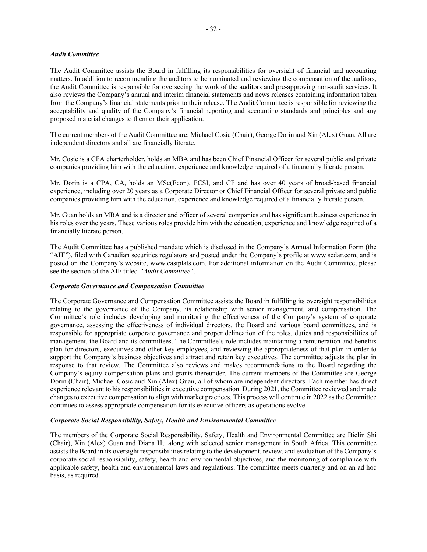#### *Audit Committee*

The Audit Committee assists the Board in fulfilling its responsibilities for oversight of financial and accounting matters. In addition to recommending the auditors to be nominated and reviewing the compensation of the auditors, the Audit Committee is responsible for overseeing the work of the auditors and pre-approving non-audit services. It also reviews the Company's annual and interim financial statements and news releases containing information taken from the Company's financial statements prior to their release. The Audit Committee is responsible for reviewing the acceptability and quality of the Company's financial reporting and accounting standards and principles and any proposed material changes to them or their application.

The current members of the Audit Committee are: Michael Cosic (Chair), George Dorin and Xin (Alex) Guan. All are independent directors and all are financially literate.

Mr. Cosic is a CFA charterholder, holds an MBA and has been Chief Financial Officer for several public and private companies providing him with the education, experience and knowledge required of a financially literate person.

Mr. Dorin is a CPA, CA, holds an MSc(Econ), FCSI, and CF and has over 40 years of broad-based financial experience, including over 20 years as a Corporate Director or Chief Financial Officer for several private and public companies providing him with the education, experience and knowledge required of a financially literate person.

Mr. Guan holds an MBA and is a director and officer of several companies and has significant business experience in his roles over the years. These various roles provide him with the education, experience and knowledge required of a financially literate person.

The Audit Committee has a published mandate which is disclosed in the Company's Annual Information Form (the "**AIF**"), filed with Canadian securities regulators and posted under the Company's profile at www.sedar.com, and is posted on the Company's website, www.eastplats.com. For additional information on the Audit Committee, please see the section of the AIF titled *"Audit Committee".*

#### *Corporate Governance and Compensation Committee*

The Corporate Governance and Compensation Committee assists the Board in fulfilling its oversight responsibilities relating to the governance of the Company, its relationship with senior management, and compensation. The Committee's role includes developing and monitoring the effectiveness of the Company's system of corporate governance, assessing the effectiveness of individual directors, the Board and various board committees, and is responsible for appropriate corporate governance and proper delineation of the roles, duties and responsibilities of management, the Board and its committees. The Committee's role includes maintaining a remuneration and benefits plan for directors, executives and other key employees, and reviewing the appropriateness of that plan in order to support the Company's business objectives and attract and retain key executives. The committee adjusts the plan in response to that review. The Committee also reviews and makes recommendations to the Board regarding the Company's equity compensation plans and grants thereunder. The current members of the Committee are George Dorin (Chair), Michael Cosic and Xin (Alex) Guan, all of whom are independent directors. Each member has direct experience relevant to his responsibilities in executive compensation. During 2021, the Committee reviewed and made changes to executive compensation to align with market practices. This process will continue in 2022 as the Committee continues to assess appropriate compensation for its executive officers as operations evolve.

#### *Corporate Social Responsibility, Safety, Health and Environmental Committee*

The members of the Corporate Social Responsibility, Safety, Health and Environmental Committee are Bielin Shi (Chair), Xin (Alex) Guan and Diana Hu along with selected senior management in South Africa. This committee assists the Board in its oversight responsibilities relating to the development, review, and evaluation of the Company's corporate social responsibility, safety, health and environmental objectives, and the monitoring of compliance with applicable safety, health and environmental laws and regulations. The committee meets quarterly and on an ad hoc basis, as required.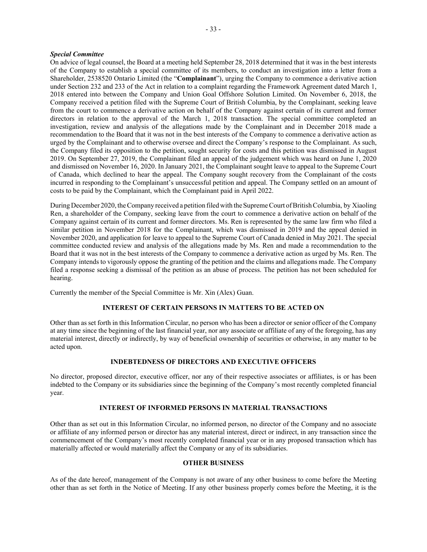#### *Special Committee*

On advice of legal counsel, the Board at a meeting held September 28, 2018 determined that it was in the best interests of the Company to establish a special committee of its members, to conduct an investigation into a letter from a Shareholder, 2538520 Ontario Limited (the "**Complainant**"), urging the Company to commence a derivative action under Section 232 and 233 of the Act in relation to a complaint regarding the Framework Agreement dated March 1, 2018 entered into between the Company and Union Goal Offshore Solution Limited. On November 6, 2018, the Company received a petition filed with the Supreme Court of British Columbia, by the Complainant, seeking leave from the court to commence a derivative action on behalf of the Company against certain of its current and former directors in relation to the approval of the March 1, 2018 transaction. The special committee completed an investigation, review and analysis of the allegations made by the Complainant and in December 2018 made a recommendation to the Board that it was not in the best interests of the Company to commence a derivative action as urged by the Complainant and to otherwise oversee and direct the Company's response to the Complainant. As such, the Company filed its opposition to the petition, sought security for costs and this petition was dismissed in August 2019. On September 27, 2019, the Complainant filed an appeal of the judgement which was heard on June 1, 2020 and dismissed on November 16, 2020. In January 2021, the Complainant sought leave to appeal to the Supreme Court of Canada, which declined to hear the appeal. The Company sought recovery from the Complainant of the costs incurred in responding to the Complainant's unsuccessful petition and appeal. The Company settled on an amount of costs to be paid by the Complainant, which the Complainant paid in April 2022.

During December 2020, the Company received a petition filed with the Supreme Court of British Columbia, by Xiaoling Ren, a shareholder of the Company, seeking leave from the court to commence a derivative action on behalf of the Company against certain of its current and former directors. Ms. Ren is represented by the same law firm who filed a similar petition in November 2018 for the Complainant, which was dismissed in 2019 and the appeal denied in November 2020, and application for leave to appeal to the Supreme Court of Canada denied in May 2021. The special committee conducted review and analysis of the allegations made by Ms. Ren and made a recommendation to the Board that it was not in the best interests of the Company to commence a derivative action as urged by Ms. Ren. The Company intends to vigorously oppose the granting of the petition and the claims and allegations made. The Company filed a response seeking a dismissal of the petition as an abuse of process. The petition has not been scheduled for hearing.

Currently the member of the Special Committee is Mr. Xin (Alex) Guan.

# **INTEREST OF CERTAIN PERSONS IN MATTERS TO BE ACTED ON**

Other than as set forth in this Information Circular, no person who has been a director or senior officer of the Company at any time since the beginning of the last financial year, nor any associate or affiliate of any of the foregoing, has any material interest, directly or indirectly, by way of beneficial ownership of securities or otherwise, in any matter to be acted upon.

# **INDEBTEDNESS OF DIRECTORS AND EXECUTIVE OFFICERS**

No director, proposed director, executive officer, nor any of their respective associates or affiliates, is or has been indebted to the Company or its subsidiaries since the beginning of the Company's most recently completed financial year.

# **INTEREST OF INFORMED PERSONS IN MATERIAL TRANSACTIONS**

Other than as set out in this Information Circular, no informed person, no director of the Company and no associate or affiliate of any informed person or director has any material interest, direct or indirect, in any transaction since the commencement of the Company's most recently completed financial year or in any proposed transaction which has materially affected or would materially affect the Company or any of its subsidiaries.

# **OTHER BUSINESS**

As of the date hereof, management of the Company is not aware of any other business to come before the Meeting other than as set forth in the Notice of Meeting. If any other business properly comes before the Meeting, it is the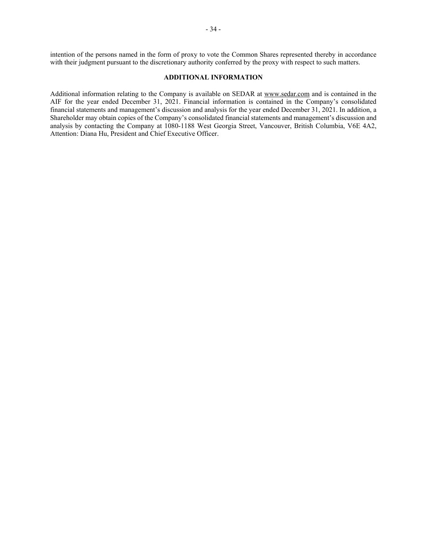intention of the persons named in the form of proxy to vote the Common Shares represented thereby in accordance with their judgment pursuant to the discretionary authority conferred by the proxy with respect to such matters.

# **ADDITIONAL INFORMATION**

Additional information relating to the Company is available on SEDAR at www.sedar.com and is contained in the AIF for the year ended December 31, 2021. Financial information is contained in the Company's consolidated financial statements and management's discussion and analysis for the year ended December 31, 2021. In addition, a Shareholder may obtain copies of the Company's consolidated financial statements and management's discussion and analysis by contacting the Company at 1080-1188 West Georgia Street, Vancouver, British Columbia, V6E 4A2, Attention: Diana Hu, President and Chief Executive Officer.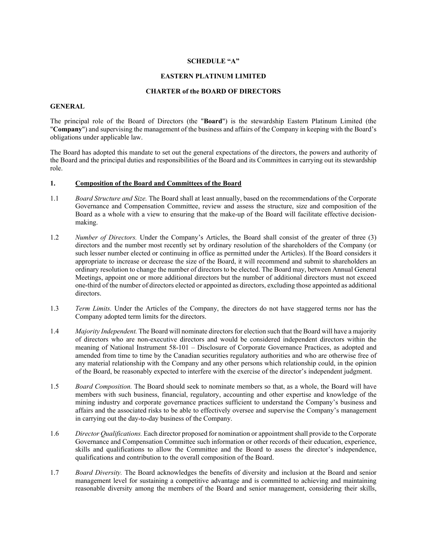# **SCHEDULE "A"**

# **EASTERN PLATINUM LIMITED**

#### **CHARTER of the BOARD OF DIRECTORS**

#### **GENERAL**

The principal role of the Board of Directors (the "**Board**") is the stewardship Eastern Platinum Limited (the "**Company**") and supervising the management of the business and affairs of the Company in keeping with the Board's obligations under applicable law.

The Board has adopted this mandate to set out the general expectations of the directors, the powers and authority of the Board and the principal duties and responsibilities of the Board and its Committees in carrying out its stewardship role.

#### **1. Composition of the Board and Committees of the Board**

- 1.1 *Board Structure and Size.* The Board shall at least annually, based on the recommendations of the Corporate Governance and Compensation Committee, review and assess the structure, size and composition of the Board as a whole with a view to ensuring that the make-up of the Board will facilitate effective decisionmaking.
- 1.2 *Number of Directors*. Under the Company's Articles, the Board shall consist of the greater of three (3) directors and the number most recently set by ordinary resolution of the shareholders of the Company (or such lesser number elected or continuing in office as permitted under the Articles). If the Board considers it appropriate to increase or decrease the size of the Board, it will recommend and submit to shareholders an ordinary resolution to change the number of directors to be elected. The Board may, between Annual General Meetings, appoint one or more additional directors but the number of additional directors must not exceed one-third of the number of directors elected or appointed as directors, excluding those appointed as additional directors.
- 1.3 *Term Limits.* Under the Articles of the Company, the directors do not have staggered terms nor has the Company adopted term limits for the directors.
- 1.4 *Majority Independent.* The Board will nominate directors for election such that the Board will have a majority of directors who are non-executive directors and would be considered independent directors within the meaning of National Instrument 58-101 – Disclosure of Corporate Governance Practices, as adopted and amended from time to time by the Canadian securities regulatory authorities and who are otherwise free of any material relationship with the Company and any other persons which relationship could, in the opinion of the Board, be reasonably expected to interfere with the exercise of the director's independent judgment.
- 1.5 *Board Composition.* The Board should seek to nominate members so that, as a whole, the Board will have members with such business, financial, regulatory, accounting and other expertise and knowledge of the mining industry and corporate governance practices sufficient to understand the Company's business and affairs and the associated risks to be able to effectively oversee and supervise the Company's management in carrying out the day-to-day business of the Company.
- 1.6 *Director Qualifications.* Each director proposed for nomination or appointment shall provide to the Corporate Governance and Compensation Committee such information or other records of their education, experience, skills and qualifications to allow the Committee and the Board to assess the director's independence, qualifications and contribution to the overall composition of the Board.
- 1.7 *Board Diversity.* The Board acknowledges the benefits of diversity and inclusion at the Board and senior management level for sustaining a competitive advantage and is committed to achieving and maintaining reasonable diversity among the members of the Board and senior management, considering their skills,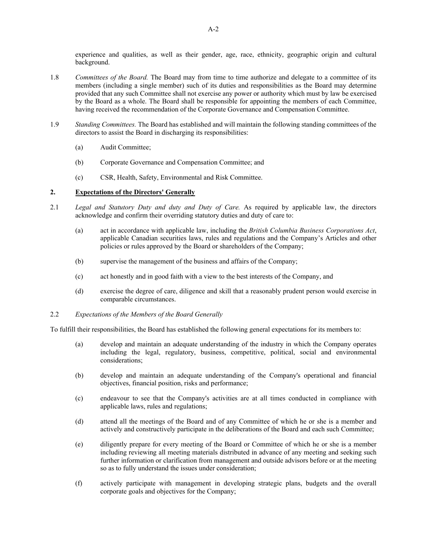experience and qualities, as well as their gender, age, race, ethnicity, geographic origin and cultural background.

- 1.8 *Committees of the Board.* The Board may from time to time authorize and delegate to a committee of its members (including a single member) such of its duties and responsibilities as the Board may determine provided that any such Committee shall not exercise any power or authority which must by law be exercised by the Board as a whole. The Board shall be responsible for appointing the members of each Committee, having received the recommendation of the Corporate Governance and Compensation Committee.
- 1.9 *Standing Committees.* The Board has established and will maintain the following standing committees of the directors to assist the Board in discharging its responsibilities:
	- (a) Audit Committee;
	- (b) Corporate Governance and Compensation Committee; and
	- (c) CSR, Health, Safety, Environmental and Risk Committee.

# **2. Expectations of the Directors' Generally**

- 2.1 *Legal and Statutory Duty and duty and Duty of Care.* As required by applicable law, the directors acknowledge and confirm their overriding statutory duties and duty of care to:
	- (a) act in accordance with applicable law, including the *British Columbia Business Corporations Act*, applicable Canadian securities laws, rules and regulations and the Company's Articles and other policies or rules approved by the Board or shareholders of the Company;
	- (b) supervise the management of the business and affairs of the Company;
	- (c) act honestly and in good faith with a view to the best interests of the Company, and
	- (d) exercise the degree of care, diligence and skill that a reasonably prudent person would exercise in comparable circumstances.

# 2.2 *Expectations of the Members of the Board Generally*

To fulfill their responsibilities, the Board has established the following general expectations for its members to:

- (a) develop and maintain an adequate understanding of the industry in which the Company operates including the legal, regulatory, business, competitive, political, social and environmental considerations;
- (b) develop and maintain an adequate understanding of the Company's operational and financial objectives, financial position, risks and performance;
- (c) endeavour to see that the Company's activities are at all times conducted in compliance with applicable laws, rules and regulations;
- (d) attend all the meetings of the Board and of any Committee of which he or she is a member and actively and constructively participate in the deliberations of the Board and each such Committee;
- (e) diligently prepare for every meeting of the Board or Committee of which he or she is a member including reviewing all meeting materials distributed in advance of any meeting and seeking such further information or clarification from management and outside advisors before or at the meeting so as to fully understand the issues under consideration;
- (f) actively participate with management in developing strategic plans, budgets and the overall corporate goals and objectives for the Company;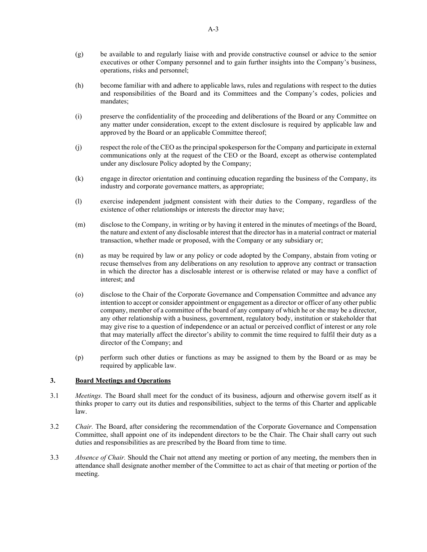- (g) be available to and regularly liaise with and provide constructive counsel or advice to the senior executives or other Company personnel and to gain further insights into the Company's business, operations, risks and personnel;
- (h) become familiar with and adhere to applicable laws, rules and regulations with respect to the duties and responsibilities of the Board and its Committees and the Company's codes, policies and mandates;
- (i) preserve the confidentiality of the proceeding and deliberations of the Board or any Committee on any matter under consideration, except to the extent disclosure is required by applicable law and approved by the Board or an applicable Committee thereof;
- (j) respect the role of the CEO as the principal spokesperson for the Company and participate in external communications only at the request of the CEO or the Board, except as otherwise contemplated under any disclosure Policy adopted by the Company;
- (k) engage in director orientation and continuing education regarding the business of the Company, its industry and corporate governance matters, as appropriate;
- (l) exercise independent judgment consistent with their duties to the Company, regardless of the existence of other relationships or interests the director may have;
- (m) disclose to the Company, in writing or by having it entered in the minutes of meetings of the Board, the nature and extent of any disclosable interest that the director has in a material contract or material transaction, whether made or proposed, with the Company or any subsidiary or;
- (n) as may be required by law or any policy or code adopted by the Company, abstain from voting or recuse themselves from any deliberations on any resolution to approve any contract or transaction in which the director has a disclosable interest or is otherwise related or may have a conflict of interest; and
- (o) disclose to the Chair of the Corporate Governance and Compensation Committee and advance any intention to accept or consider appointment or engagement as a director or officer of any other public company, member of a committee of the board of any company of which he or she may be a director, any other relationship with a business, government, regulatory body, institution or stakeholder that may give rise to a question of independence or an actual or perceived conflict of interest or any role that may materially affect the director's ability to commit the time required to fulfil their duty as a director of the Company; and
- (p) perform such other duties or functions as may be assigned to them by the Board or as may be required by applicable law.

# **3. Board Meetings and Operations**

- 3.1 *Meetings.* The Board shall meet for the conduct of its business, adjourn and otherwise govern itself as it thinks proper to carry out its duties and responsibilities, subject to the terms of this Charter and applicable law.
- 3.2 *Chair.* The Board, after considering the recommendation of the Corporate Governance and Compensation Committee, shall appoint one of its independent directors to be the Chair. The Chair shall carry out such duties and responsibilities as are prescribed by the Board from time to time.
- 3.3 *Absence of Chair.* Should the Chair not attend any meeting or portion of any meeting, the members then in attendance shall designate another member of the Committee to act as chair of that meeting or portion of the meeting.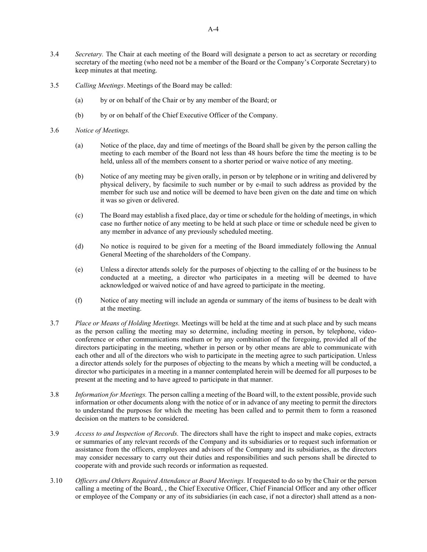- 3.4 *Secretary.* The Chair at each meeting of the Board will designate a person to act as secretary or recording secretary of the meeting (who need not be a member of the Board or the Company's Corporate Secretary) to keep minutes at that meeting.
- 3.5 *Calling Meetings*. Meetings of the Board may be called:
	- (a) by or on behalf of the Chair or by any member of the Board; or
	- (b) by or on behalf of the Chief Executive Officer of the Company.
- 3.6 *Notice of Meetings.* 
	- (a) Notice of the place, day and time of meetings of the Board shall be given by the person calling the meeting to each member of the Board not less than 48 hours before the time the meeting is to be held, unless all of the members consent to a shorter period or waive notice of any meeting.
	- (b) Notice of any meeting may be given orally, in person or by telephone or in writing and delivered by physical delivery, by facsimile to such number or by e-mail to such address as provided by the member for such use and notice will be deemed to have been given on the date and time on which it was so given or delivered.
	- (c) The Board may establish a fixed place, day or time or schedule for the holding of meetings, in which case no further notice of any meeting to be held at such place or time or schedule need be given to any member in advance of any previously scheduled meeting.
	- (d) No notice is required to be given for a meeting of the Board immediately following the Annual General Meeting of the shareholders of the Company.
	- (e) Unless a director attends solely for the purposes of objecting to the calling of or the business to be conducted at a meeting, a director who participates in a meeting will be deemed to have acknowledged or waived notice of and have agreed to participate in the meeting.
	- (f) Notice of any meeting will include an agenda or summary of the items of business to be dealt with at the meeting.
- 3.7 *Place or Means of Holding Meetings.* Meetings will be held at the time and at such place and by such means as the person calling the meeting may so determine, including meeting in person, by telephone, videoconference or other communications medium or by any combination of the foregoing, provided all of the directors participating in the meeting, whether in person or by other means are able to communicate with each other and all of the directors who wish to participate in the meeting agree to such participation. Unless a director attends solely for the purposes of objecting to the means by which a meeting will be conducted, a director who participates in a meeting in a manner contemplated herein will be deemed for all purposes to be present at the meeting and to have agreed to participate in that manner.
- 3.8 *Information for Meetings.* The person calling a meeting of the Board will, to the extent possible, provide such information or other documents along with the notice of or in advance of any meeting to permit the directors to understand the purposes for which the meeting has been called and to permit them to form a reasoned decision on the matters to be considered.
- 3.9 *Access to and Inspection of Records.* The directors shall have the right to inspect and make copies, extracts or summaries of any relevant records of the Company and its subsidiaries or to request such information or assistance from the officers, employees and advisors of the Company and its subsidiaries, as the directors may consider necessary to carry out their duties and responsibilities and such persons shall be directed to cooperate with and provide such records or information as requested.
- 3.10 *Officers and Others Required Attendance at Board Meetings.* If requested to do so by the Chair or the person calling a meeting of the Board, , the Chief Executive Officer, Chief Financial Officer and any other officer or employee of the Company or any of its subsidiaries (in each case, if not a director) shall attend as a non-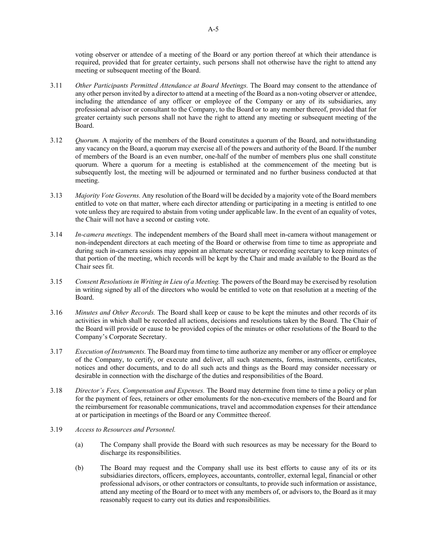voting observer or attendee of a meeting of the Board or any portion thereof at which their attendance is required, provided that for greater certainty, such persons shall not otherwise have the right to attend any meeting or subsequent meeting of the Board.

- 3.11 *Other Participants Permitted Attendance at Board Meetings.* The Board may consent to the attendance of any other person invited by a director to attend at a meeting of the Board as a non-voting observer or attendee, including the attendance of any officer or employee of the Company or any of its subsidiaries, any professional advisor or consultant to the Company, to the Board or to any member thereof, provided that for greater certainty such persons shall not have the right to attend any meeting or subsequent meeting of the Board.
- 3.12 *Quorum.* A majority of the members of the Board constitutes a quorum of the Board, and notwithstanding any vacancy on the Board, a quorum may exercise all of the powers and authority of the Board. If the number of members of the Board is an even number, one-half of the number of members plus one shall constitute quorum. Where a quorum for a meeting is established at the commencement of the meeting but is subsequently lost, the meeting will be adjourned or terminated and no further business conducted at that meeting.
- 3.13 *Majority Vote Governs.* Any resolution of the Board will be decided by a majority vote of the Board members entitled to vote on that matter, where each director attending or participating in a meeting is entitled to one vote unless they are required to abstain from voting under applicable law. In the event of an equality of votes, the Chair will not have a second or casting vote.
- 3.14 *In-camera meetings.* The independent members of the Board shall meet in-camera without management or non-independent directors at each meeting of the Board or otherwise from time to time as appropriate and during such in-camera sessions may appoint an alternate secretary or recording secretary to keep minutes of that portion of the meeting, which records will be kept by the Chair and made available to the Board as the Chair sees fit.
- 3.15 *Consent Resolutions in Writing in Lieu of a Meeting.* The powers of the Board may be exercised by resolution in writing signed by all of the directors who would be entitled to vote on that resolution at a meeting of the Board.
- 3.16 *Minutes and Other Records.* The Board shall keep or cause to be kept the minutes and other records of its activities in which shall be recorded all actions, decisions and resolutions taken by the Board. The Chair of the Board will provide or cause to be provided copies of the minutes or other resolutions of the Board to the Company's Corporate Secretary.
- 3.17 *Execution of Instruments.* The Board may from time to time authorize any member or any officer or employee of the Company, to certify, or execute and deliver, all such statements, forms, instruments, certificates, notices and other documents, and to do all such acts and things as the Board may consider necessary or desirable in connection with the discharge of the duties and responsibilities of the Board.
- 3.18 *Director's Fees, Compensation and Expenses.* The Board may determine from time to time a policy or plan for the payment of fees, retainers or other emoluments for the non-executive members of the Board and for the reimbursement for reasonable communications, travel and accommodation expenses for their attendance at or participation in meetings of the Board or any Committee thereof.
- 3.19 *Access to Resources and Personnel.* 
	- (a) The Company shall provide the Board with such resources as may be necessary for the Board to discharge its responsibilities.
	- (b) The Board may request and the Company shall use its best efforts to cause any of its or its subsidiaries directors, officers, employees, accountants, controller, external legal, financial or other professional advisors, or other contractors or consultants, to provide such information or assistance, attend any meeting of the Board or to meet with any members of, or advisors to, the Board as it may reasonably request to carry out its duties and responsibilities.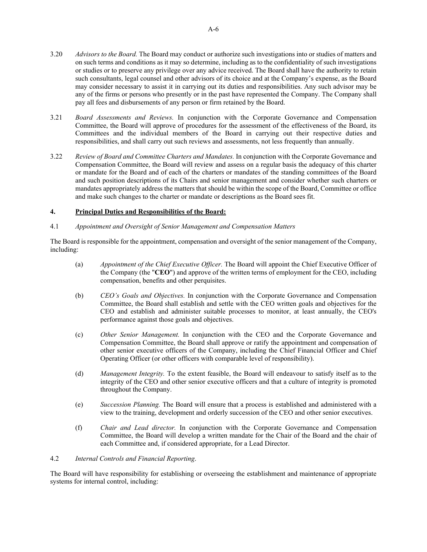- 3.20 *Advisors to the Board.* The Board may conduct or authorize such investigations into or studies of matters and on such terms and conditions as it may so determine, including as to the confidentiality of such investigations or studies or to preserve any privilege over any advice received. The Board shall have the authority to retain such consultants, legal counsel and other advisors of its choice and at the Company's expense, as the Board may consider necessary to assist it in carrying out its duties and responsibilities. Any such advisor may be any of the firms or persons who presently or in the past have represented the Company. The Company shall pay all fees and disbursements of any person or firm retained by the Board.
- 3.21 *Board Assessments and Reviews.* In conjunction with the Corporate Governance and Compensation Committee, the Board will approve of procedures for the assessment of the effectiveness of the Board, its Committees and the individual members of the Board in carrying out their respective duties and responsibilities, and shall carry out such reviews and assessments, not less frequently than annually.
- 3.22 *Review of Board and Committee Charters and Mandates.* In conjunction with the Corporate Governance and Compensation Committee, the Board will review and assess on a regular basis the adequacy of this charter or mandate for the Board and of each of the charters or mandates of the standing committees of the Board and such position descriptions of its Chairs and senior management and consider whether such charters or mandates appropriately address the matters that should be within the scope of the Board, Committee or office and make such changes to the charter or mandate or descriptions as the Board sees fit.

# **4. Principal Duties and Responsibilities of the Board:**

# 4.1 *Appointment and Oversight of Senior Management and Compensation Matters*

The Board is responsible for the appointment, compensation and oversight of the senior management of the Company, including:

- (a) *Appointment of the Chief Executive Officer.* The Board will appoint the Chief Executive Officer of the Company (the "**CEO**") and approve of the written terms of employment for the CEO, including compensation, benefits and other perquisites.
- (b) *CEO's Goals and Objectives.* In conjunction with the Corporate Governance and Compensation Committee, the Board shall establish and settle with the CEO written goals and objectives for the CEO and establish and administer suitable processes to monitor, at least annually, the CEO's performance against those goals and objectives.
- (c) *Other Senior Management.* In conjunction with the CEO and the Corporate Governance and Compensation Committee, the Board shall approve or ratify the appointment and compensation of other senior executive officers of the Company, including the Chief Financial Officer and Chief Operating Officer (or other officers with comparable level of responsibility).
- (d) *Management Integrity.* To the extent feasible, the Board will endeavour to satisfy itself as to the integrity of the CEO and other senior executive officers and that a culture of integrity is promoted throughout the Company.
- (e) *Succession Planning.* The Board will ensure that a process is established and administered with a view to the training, development and orderly succession of the CEO and other senior executives.
- (f) *Chair and Lead director.* In conjunction with the Corporate Governance and Compensation Committee, the Board will develop a written mandate for the Chair of the Board and the chair of each Committee and, if considered appropriate, for a Lead Director.

# 4.2 *Internal Controls and Financial Reporting*.

The Board will have responsibility for establishing or overseeing the establishment and maintenance of appropriate systems for internal control, including: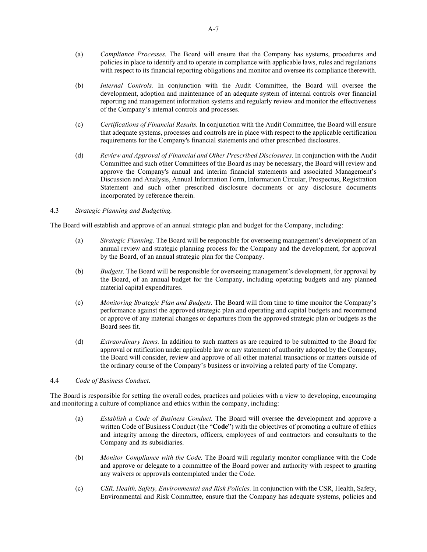- (a) *Compliance Processes.* The Board will ensure that the Company has systems, procedures and policies in place to identify and to operate in compliance with applicable laws, rules and regulations with respect to its financial reporting obligations and monitor and oversee its compliance therewith.
- (b) *Internal Controls.* In conjunction with the Audit Committee, the Board will oversee the development, adoption and maintenance of an adequate system of internal controls over financial reporting and management information systems and regularly review and monitor the effectiveness of the Company's internal controls and processes.
- (c) *Certifications of Financial Results.* In conjunction with the Audit Committee, the Board will ensure that adequate systems, processes and controls are in place with respect to the applicable certification requirements for the Company's financial statements and other prescribed disclosures.
- (d) *Review and Approval of Financial and Other Prescribed Disclosures*. In conjunction with the Audit Committee and such other Committees of the Board as may be necessary, the Board will review and approve the Company's annual and interim financial statements and associated Management's Discussion and Analysis, Annual Information Form, Information Circular, Prospectus, Registration Statement and such other prescribed disclosure documents or any disclosure documents incorporated by reference therein.

# 4.3 *Strategic Planning and Budgeting.*

The Board will establish and approve of an annual strategic plan and budget for the Company, including:

- (a) *Strategic Planning.* The Board will be responsible for overseeing management's development of an annual review and strategic planning process for the Company and the development, for approval by the Board, of an annual strategic plan for the Company.
- (b) *Budgets.* The Board will be responsible for overseeing management's development, for approval by the Board, of an annual budget for the Company, including operating budgets and any planned material capital expenditures.
- (c) *Monitoring Strategic Plan and Budgets.* The Board will from time to time monitor the Company's performance against the approved strategic plan and operating and capital budgets and recommend or approve of any material changes or departures from the approved strategic plan or budgets as the Board sees fit.
- (d) *Extraordinary Items.* In addition to such matters as are required to be submitted to the Board for approval or ratification under applicable law or any statement of authority adopted by the Company, the Board will consider, review and approve of all other material transactions or matters outside of the ordinary course of the Company's business or involving a related party of the Company.

# 4.4 *Code of Business Conduct*.

The Board is responsible for setting the overall codes, practices and policies with a view to developing, encouraging and monitoring a culture of compliance and ethics within the company, including:

- (a) *Establish a Code of Business Conduct.* The Board will oversee the development and approve a written Code of Business Conduct (the "**Code**") with the objectives of promoting a culture of ethics and integrity among the directors, officers, employees of and contractors and consultants to the Company and its subsidiaries.
- (b) *Monitor Compliance with the Code.* The Board will regularly monitor compliance with the Code and approve or delegate to a committee of the Board power and authority with respect to granting any waivers or approvals contemplated under the Code.
- (c) *CSR, Health, Safety, Environmental and Risk Policies.* In conjunction with the CSR, Health, Safety, Environmental and Risk Committee, ensure that the Company has adequate systems, policies and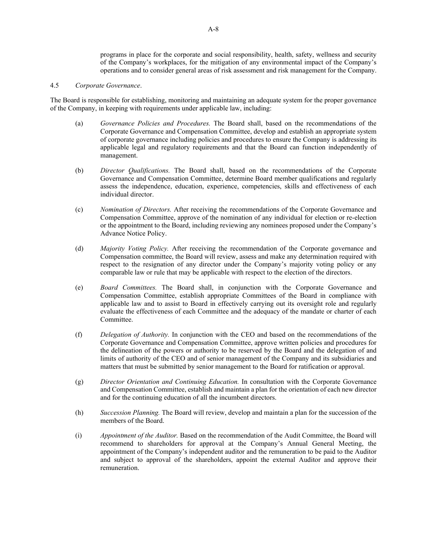programs in place for the corporate and social responsibility, health, safety, wellness and security of the Company's workplaces, for the mitigation of any environmental impact of the Company's operations and to consider general areas of risk assessment and risk management for the Company.

#### 4.5 *Corporate Governance*.

The Board is responsible for establishing, monitoring and maintaining an adequate system for the proper governance of the Company, in keeping with requirements under applicable law, including:

- (a) *Governance Policies and Procedures.* The Board shall, based on the recommendations of the Corporate Governance and Compensation Committee, develop and establish an appropriate system of corporate governance including policies and procedures to ensure the Company is addressing its applicable legal and regulatory requirements and that the Board can function independently of management.
- (b) *Director Qualifications.* The Board shall, based on the recommendations of the Corporate Governance and Compensation Committee, determine Board member qualifications and regularly assess the independence, education, experience, competencies, skills and effectiveness of each individual director.
- (c) *Nomination of Directors.* After receiving the recommendations of the Corporate Governance and Compensation Committee, approve of the nomination of any individual for election or re-election or the appointment to the Board, including reviewing any nominees proposed under the Company's Advance Notice Policy.
- (d) *Majority Voting Policy.* After receiving the recommendation of the Corporate governance and Compensation committee, the Board will review, assess and make any determination required with respect to the resignation of any director under the Company's majority voting policy or any comparable law or rule that may be applicable with respect to the election of the directors.
- (e) *Board Committees.* The Board shall, in conjunction with the Corporate Governance and Compensation Committee, establish appropriate Committees of the Board in compliance with applicable law and to assist to Board in effectively carrying out its oversight role and regularly evaluate the effectiveness of each Committee and the adequacy of the mandate or charter of each Committee.
- (f) *Delegation of Authority.* In conjunction with the CEO and based on the recommendations of the Corporate Governance and Compensation Committee, approve written policies and procedures for the delineation of the powers or authority to be reserved by the Board and the delegation of and limits of authority of the CEO and of senior management of the Company and its subsidiaries and matters that must be submitted by senior management to the Board for ratification or approval.
- (g) *Director Orientation and Continuing Education.* In consultation with the Corporate Governance and Compensation Committee, establish and maintain a plan for the orientation of each new director and for the continuing education of all the incumbent directors.
- (h) *Succession Planning.* The Board will review, develop and maintain a plan for the succession of the members of the Board.
- (i) *Appointment of the Auditor.* Based on the recommendation of the Audit Committee, the Board will recommend to shareholders for approval at the Company's Annual General Meeting, the appointment of the Company's independent auditor and the remuneration to be paid to the Auditor and subject to approval of the shareholders, appoint the external Auditor and approve their remuneration.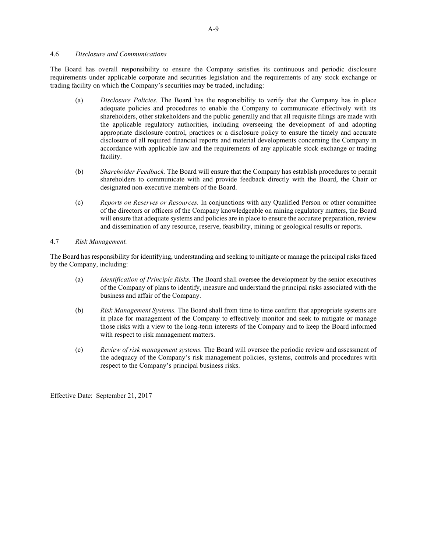# 4.6 *Disclosure and Communications*

The Board has overall responsibility to ensure the Company satisfies its continuous and periodic disclosure requirements under applicable corporate and securities legislation and the requirements of any stock exchange or trading facility on which the Company's securities may be traded, including:

- (a) *Disclosure Policies.* The Board has the responsibility to verify that the Company has in place adequate policies and procedures to enable the Company to communicate effectively with its shareholders, other stakeholders and the public generally and that all requisite filings are made with the applicable regulatory authorities, including overseeing the development of and adopting appropriate disclosure control, practices or a disclosure policy to ensure the timely and accurate disclosure of all required financial reports and material developments concerning the Company in accordance with applicable law and the requirements of any applicable stock exchange or trading facility.
- (b) *Shareholder Feedback.* The Board will ensure that the Company has establish procedures to permit shareholders to communicate with and provide feedback directly with the Board, the Chair or designated non-executive members of the Board.
- (c) *Reports on Reserves or Resources.* In conjunctions with any Qualified Person or other committee of the directors or officers of the Company knowledgeable on mining regulatory matters, the Board will ensure that adequate systems and policies are in place to ensure the accurate preparation, review and dissemination of any resource, reserve, feasibility, mining or geological results or reports.

#### 4.7 *Risk Management.*

The Board has responsibility for identifying, understanding and seeking to mitigate or manage the principal risks faced by the Company, including:

- (a) *Identification of Principle Risks.* The Board shall oversee the development by the senior executives of the Company of plans to identify, measure and understand the principal risks associated with the business and affair of the Company.
- (b) *Risk Management Systems.* The Board shall from time to time confirm that appropriate systems are in place for management of the Company to effectively monitor and seek to mitigate or manage those risks with a view to the long-term interests of the Company and to keep the Board informed with respect to risk management matters.
- (c) *Review of risk management systems.* The Board will oversee the periodic review and assessment of the adequacy of the Company's risk management policies, systems, controls and procedures with respect to the Company's principal business risks.

Effective Date: September 21, 2017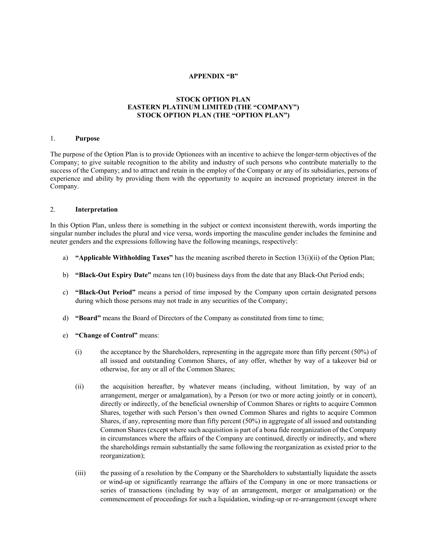#### **APPENDIX "B"**

# **STOCK OPTION PLAN EASTERN PLATINUM LIMITED (THE "COMPANY") STOCK OPTION PLAN (THE "OPTION PLAN")**

### 1. **Purpose**

The purpose of the Option Plan is to provide Optionees with an incentive to achieve the longer-term objectives of the Company; to give suitable recognition to the ability and industry of such persons who contribute materially to the success of the Company; and to attract and retain in the employ of the Company or any of its subsidiaries, persons of experience and ability by providing them with the opportunity to acquire an increased proprietary interest in the Company.

# 2. **Interpretation**

In this Option Plan, unless there is something in the subject or context inconsistent therewith, words importing the singular number includes the plural and vice versa, words importing the masculine gender includes the feminine and neuter genders and the expressions following have the following meanings, respectively:

- a) **"Applicable Withholding Taxes"** has the meaning ascribed thereto in Section 13(i)(ii) of the Option Plan;
- b) **"Black-Out Expiry Date"** means ten (10) business days from the date that any Black-Out Period ends;
- c) **"Black-Out Period"** means a period of time imposed by the Company upon certain designated persons during which those persons may not trade in any securities of the Company;
- d) **"Board"** means the Board of Directors of the Company as constituted from time to time;
- e) **"Change of Control"** means:
	- (i) the acceptance by the Shareholders, representing in the aggregate more than fifty percent (50%) of all issued and outstanding Common Shares, of any offer, whether by way of a takeover bid or otherwise, for any or all of the Common Shares;
	- (ii) the acquisition hereafter, by whatever means (including, without limitation, by way of an arrangement, merger or amalgamation), by a Person (or two or more acting jointly or in concert), directly or indirectly, of the beneficial ownership of Common Shares or rights to acquire Common Shares, together with such Person's then owned Common Shares and rights to acquire Common Shares, if any, representing more than fifty percent (50%) in aggregate of all issued and outstanding Common Shares (except where such acquisition is part of a bona fide reorganization of the Company in circumstances where the affairs of the Company are continued, directly or indirectly, and where the shareholdings remain substantially the same following the reorganization as existed prior to the reorganization);
	- (iii) the passing of a resolution by the Company or the Shareholders to substantially liquidate the assets or wind-up or significantly rearrange the affairs of the Company in one or more transactions or series of transactions (including by way of an arrangement, merger or amalgamation) or the commencement of proceedings for such a liquidation, winding-up or re-arrangement (except where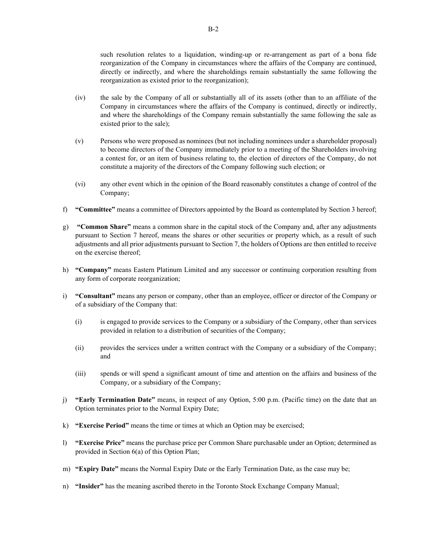such resolution relates to a liquidation, winding-up or re-arrangement as part of a bona fide reorganization of the Company in circumstances where the affairs of the Company are continued, directly or indirectly, and where the shareholdings remain substantially the same following the reorganization as existed prior to the reorganization);

- (iv) the sale by the Company of all or substantially all of its assets (other than to an affiliate of the Company in circumstances where the affairs of the Company is continued, directly or indirectly, and where the shareholdings of the Company remain substantially the same following the sale as existed prior to the sale);
- (v) Persons who were proposed as nominees (but not including nominees under a shareholder proposal) to become directors of the Company immediately prior to a meeting of the Shareholders involving a contest for, or an item of business relating to, the election of directors of the Company, do not constitute a majority of the directors of the Company following such election; or
- (vi) any other event which in the opinion of the Board reasonably constitutes a change of control of the Company;
- f) **"Committee"** means a committee of Directors appointed by the Board as contemplated by Section 3 hereof;
- g) **"Common Share"** means a common share in the capital stock of the Company and, after any adjustments pursuant to Section 7 hereof, means the shares or other securities or property which, as a result of such adjustments and all prior adjustments pursuant to Section 7, the holders of Options are then entitled to receive on the exercise thereof;
- h) **"Company"** means Eastern Platinum Limited and any successor or continuing corporation resulting from any form of corporate reorganization;
- i) **"Consultant"** means any person or company, other than an employee, officer or director of the Company or of a subsidiary of the Company that:
	- (i) is engaged to provide services to the Company or a subsidiary of the Company, other than services provided in relation to a distribution of securities of the Company;
	- (ii) provides the services under a written contract with the Company or a subsidiary of the Company; and
	- (iii) spends or will spend a significant amount of time and attention on the affairs and business of the Company, or a subsidiary of the Company;
- j) **"Early Termination Date"** means, in respect of any Option, 5:00 p.m. (Pacific time) on the date that an Option terminates prior to the Normal Expiry Date;
- k) **"Exercise Period"** means the time or times at which an Option may be exercised;
- l) **"Exercise Price"** means the purchase price per Common Share purchasable under an Option; determined as provided in Section 6(a) of this Option Plan;
- m) **"Expiry Date"** means the Normal Expiry Date or the Early Termination Date, as the case may be;
- n) **"Insider"** has the meaning ascribed thereto in the Toronto Stock Exchange Company Manual;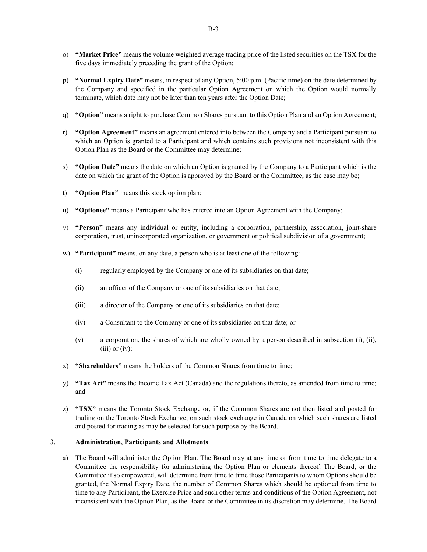- o) **"Market Price"** means the volume weighted average trading price of the listed securities on the TSX for the five days immediately preceding the grant of the Option;
- p) **"Normal Expiry Date"** means, in respect of any Option, 5:00 p.m. (Pacific time) on the date determined by the Company and specified in the particular Option Agreement on which the Option would normally terminate, which date may not be later than ten years after the Option Date;
- q) **"Option"** means a right to purchase Common Shares pursuant to this Option Plan and an Option Agreement;
- r) **"Option Agreement"** means an agreement entered into between the Company and a Participant pursuant to which an Option is granted to a Participant and which contains such provisions not inconsistent with this Option Plan as the Board or the Committee may determine;
- s) **"Option Date"** means the date on which an Option is granted by the Company to a Participant which is the date on which the grant of the Option is approved by the Board or the Committee, as the case may be;
- t) **"Option Plan"** means this stock option plan;
- u) **"Optionee"** means a Participant who has entered into an Option Agreement with the Company;
- v) **"Person"** means any individual or entity, including a corporation, partnership, association, joint-share corporation, trust, unincorporated organization, or government or political subdivision of a government;
- w) **"Participant"** means, on any date, a person who is at least one of the following:
	- (i) regularly employed by the Company or one of its subsidiaries on that date;
	- (ii) an officer of the Company or one of its subsidiaries on that date;
	- (iii) a director of the Company or one of its subsidiaries on that date;
	- (iv) a Consultant to the Company or one of its subsidiaries on that date; or
	- (v) a corporation, the shares of which are wholly owned by a person described in subsection (i), (ii),  $(iii)$  or  $(iv)$ ;
- x) **"Shareholders"** means the holders of the Common Shares from time to time;
- y) **"Tax Act"** means the Income Tax Act (Canada) and the regulations thereto, as amended from time to time; and
- z) **"TSX"** means the Toronto Stock Exchange or, if the Common Shares are not then listed and posted for trading on the Toronto Stock Exchange, on such stock exchange in Canada on which such shares are listed and posted for trading as may be selected for such purpose by the Board.

#### 3. **Administration**, **Participants and Allotments**

a) The Board will administer the Option Plan. The Board may at any time or from time to time delegate to a Committee the responsibility for administering the Option Plan or elements thereof. The Board, or the Committee if so empowered, will determine from time to time those Participants to whom Options should be granted, the Normal Expiry Date, the number of Common Shares which should be optioned from time to time to any Participant, the Exercise Price and such other terms and conditions of the Option Agreement, not inconsistent with the Option Plan, as the Board or the Committee in its discretion may determine. The Board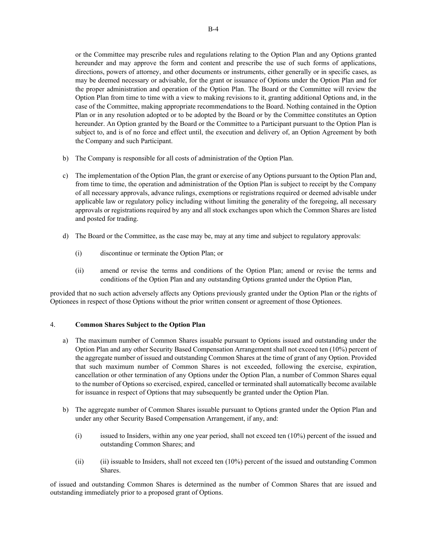or the Committee may prescribe rules and regulations relating to the Option Plan and any Options granted hereunder and may approve the form and content and prescribe the use of such forms of applications, directions, powers of attorney, and other documents or instruments, either generally or in specific cases, as may be deemed necessary or advisable, for the grant or issuance of Options under the Option Plan and for the proper administration and operation of the Option Plan. The Board or the Committee will review the Option Plan from time to time with a view to making revisions to it, granting additional Options and, in the case of the Committee, making appropriate recommendations to the Board. Nothing contained in the Option Plan or in any resolution adopted or to be adopted by the Board or by the Committee constitutes an Option hereunder. An Option granted by the Board or the Committee to a Participant pursuant to the Option Plan is subject to, and is of no force and effect until, the execution and delivery of, an Option Agreement by both the Company and such Participant.

- b) The Company is responsible for all costs of administration of the Option Plan.
- c) The implementation of the Option Plan, the grant or exercise of any Options pursuant to the Option Plan and, from time to time, the operation and administration of the Option Plan is subject to receipt by the Company of all necessary approvals, advance rulings, exemptions or registrations required or deemed advisable under applicable law or regulatory policy including without limiting the generality of the foregoing, all necessary approvals or registrations required by any and all stock exchanges upon which the Common Shares are listed and posted for trading.
- d) The Board or the Committee, as the case may be, may at any time and subject to regulatory approvals:
	- (i) discontinue or terminate the Option Plan; or
	- (ii) amend or revise the terms and conditions of the Option Plan; amend or revise the terms and conditions of the Option Plan and any outstanding Options granted under the Option Plan,

provided that no such action adversely affects any Options previously granted under the Option Plan or the rights of Optionees in respect of those Options without the prior written consent or agreement of those Optionees.

#### 4. **Common Shares Subject to the Option Plan**

- a) The maximum number of Common Shares issuable pursuant to Options issued and outstanding under the Option Plan and any other Security Based Compensation Arrangement shall not exceed ten (10%) percent of the aggregate number of issued and outstanding Common Shares at the time of grant of any Option. Provided that such maximum number of Common Shares is not exceeded, following the exercise, expiration, cancellation or other termination of any Options under the Option Plan, a number of Common Shares equal to the number of Options so exercised, expired, cancelled or terminated shall automatically become available for issuance in respect of Options that may subsequently be granted under the Option Plan.
- b) The aggregate number of Common Shares issuable pursuant to Options granted under the Option Plan and under any other Security Based Compensation Arrangement, if any, and:
	- (i) issued to Insiders, within any one year period, shall not exceed ten (10%) percent of the issued and outstanding Common Shares; and
	- (ii) (ii) issuable to Insiders, shall not exceed ten (10%) percent of the issued and outstanding Common Shares.

of issued and outstanding Common Shares is determined as the number of Common Shares that are issued and outstanding immediately prior to a proposed grant of Options.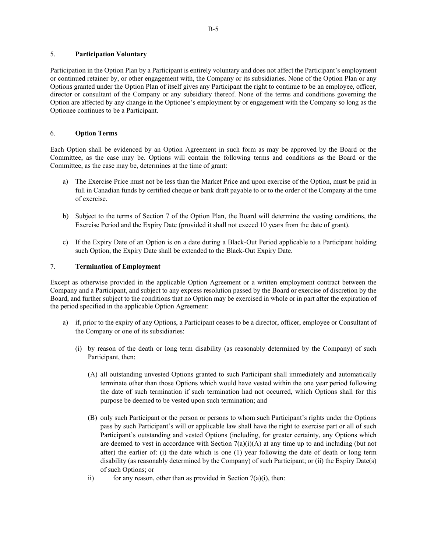# 5. **Participation Voluntary**

Participation in the Option Plan by a Participant is entirely voluntary and does not affect the Participant's employment or continued retainer by, or other engagement with, the Company or its subsidiaries. None of the Option Plan or any Options granted under the Option Plan of itself gives any Participant the right to continue to be an employee, officer, director or consultant of the Company or any subsidiary thereof. None of the terms and conditions governing the Option are affected by any change in the Optionee's employment by or engagement with the Company so long as the Optionee continues to be a Participant.

# 6. **Option Terms**

Each Option shall be evidenced by an Option Agreement in such form as may be approved by the Board or the Committee, as the case may be. Options will contain the following terms and conditions as the Board or the Committee, as the case may be, determines at the time of grant:

- a) The Exercise Price must not be less than the Market Price and upon exercise of the Option, must be paid in full in Canadian funds by certified cheque or bank draft payable to or to the order of the Company at the time of exercise.
- b) Subject to the terms of Section 7 of the Option Plan, the Board will determine the vesting conditions, the Exercise Period and the Expiry Date (provided it shall not exceed 10 years from the date of grant).
- c) If the Expiry Date of an Option is on a date during a Black-Out Period applicable to a Participant holding such Option, the Expiry Date shall be extended to the Black-Out Expiry Date.

# 7. **Termination of Employment**

Except as otherwise provided in the applicable Option Agreement or a written employment contract between the Company and a Participant, and subject to any express resolution passed by the Board or exercise of discretion by the Board, and further subject to the conditions that no Option may be exercised in whole or in part after the expiration of the period specified in the applicable Option Agreement:

- a) if, prior to the expiry of any Options, a Participant ceases to be a director, officer, employee or Consultant of the Company or one of its subsidiaries:
	- (i) by reason of the death or long term disability (as reasonably determined by the Company) of such Participant, then:
		- (A) all outstanding unvested Options granted to such Participant shall immediately and automatically terminate other than those Options which would have vested within the one year period following the date of such termination if such termination had not occurred, which Options shall for this purpose be deemed to be vested upon such termination; and
		- (B) only such Participant or the person or persons to whom such Participant's rights under the Options pass by such Participant's will or applicable law shall have the right to exercise part or all of such Participant's outstanding and vested Options (including, for greater certainty, any Options which are deemed to vest in accordance with Section  $7(a)(i)(A)$  at any time up to and including (but not after) the earlier of: (i) the date which is one (1) year following the date of death or long term disability (as reasonably determined by the Company) of such Participant; or (ii) the Expiry Date(s) of such Options; or
		- ii) for any reason, other than as provided in Section  $7(a)(i)$ , then: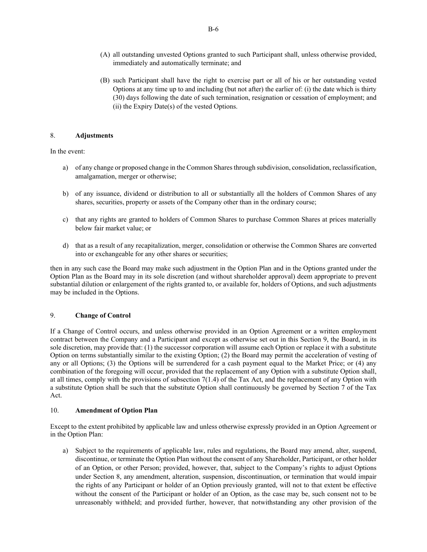- (A) all outstanding unvested Options granted to such Participant shall, unless otherwise provided, immediately and automatically terminate; and
- (B) such Participant shall have the right to exercise part or all of his or her outstanding vested Options at any time up to and including (but not after) the earlier of: (i) the date which is thirty (30) days following the date of such termination, resignation or cessation of employment; and (ii) the Expiry Date(s) of the vested Options.

# 8. **Adjustments**

In the event:

- a) of any change or proposed change in the Common Shares through subdivision, consolidation, reclassification, amalgamation, merger or otherwise;
- b) of any issuance, dividend or distribution to all or substantially all the holders of Common Shares of any shares, securities, property or assets of the Company other than in the ordinary course;
- c) that any rights are granted to holders of Common Shares to purchase Common Shares at prices materially below fair market value; or
- d) that as a result of any recapitalization, merger, consolidation or otherwise the Common Shares are converted into or exchangeable for any other shares or securities;

then in any such case the Board may make such adjustment in the Option Plan and in the Options granted under the Option Plan as the Board may in its sole discretion (and without shareholder approval) deem appropriate to prevent substantial dilution or enlargement of the rights granted to, or available for, holders of Options, and such adjustments may be included in the Options.

#### 9. **Change of Control**

If a Change of Control occurs, and unless otherwise provided in an Option Agreement or a written employment contract between the Company and a Participant and except as otherwise set out in this Section 9, the Board, in its sole discretion, may provide that: (1) the successor corporation will assume each Option or replace it with a substitute Option on terms substantially similar to the existing Option; (2) the Board may permit the acceleration of vesting of any or all Options; (3) the Options will be surrendered for a cash payment equal to the Market Price; or (4) any combination of the foregoing will occur, provided that the replacement of any Option with a substitute Option shall, at all times, comply with the provisions of subsection 7(1.4) of the Tax Act, and the replacement of any Option with a substitute Option shall be such that the substitute Option shall continuously be governed by Section 7 of the Tax Act.

# 10. **Amendment of Option Plan**

Except to the extent prohibited by applicable law and unless otherwise expressly provided in an Option Agreement or in the Option Plan:

a) Subject to the requirements of applicable law, rules and regulations, the Board may amend, alter, suspend, discontinue, or terminate the Option Plan without the consent of any Shareholder, Participant, or other holder of an Option, or other Person; provided, however, that, subject to the Company's rights to adjust Options under Section 8, any amendment, alteration, suspension, discontinuation, or termination that would impair the rights of any Participant or holder of an Option previously granted, will not to that extent be effective without the consent of the Participant or holder of an Option, as the case may be, such consent not to be unreasonably withheld; and provided further, however, that notwithstanding any other provision of the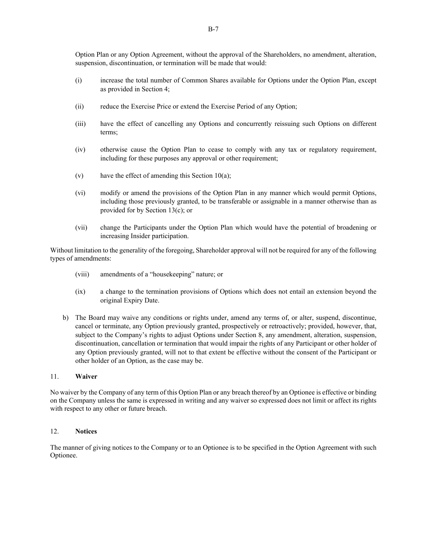Option Plan or any Option Agreement, without the approval of the Shareholders, no amendment, alteration, suspension, discontinuation, or termination will be made that would:

- (i) increase the total number of Common Shares available for Options under the Option Plan, except as provided in Section 4;
- (ii) reduce the Exercise Price or extend the Exercise Period of any Option;
- (iii) have the effect of cancelling any Options and concurrently reissuing such Options on different terms;
- (iv) otherwise cause the Option Plan to cease to comply with any tax or regulatory requirement, including for these purposes any approval or other requirement;
- (v) have the effect of amending this Section  $10(a)$ ;
- (vi) modify or amend the provisions of the Option Plan in any manner which would permit Options, including those previously granted, to be transferable or assignable in a manner otherwise than as provided for by Section 13(c); or
- (vii) change the Participants under the Option Plan which would have the potential of broadening or increasing Insider participation.

Without limitation to the generality of the foregoing, Shareholder approval will not be required for any of the following types of amendments:

- (viii) amendments of a "housekeeping" nature; or
- (ix) a change to the termination provisions of Options which does not entail an extension beyond the original Expiry Date.
- b) The Board may waive any conditions or rights under, amend any terms of, or alter, suspend, discontinue, cancel or terminate, any Option previously granted, prospectively or retroactively; provided, however, that, subject to the Company's rights to adjust Options under Section 8, any amendment, alteration, suspension, discontinuation, cancellation or termination that would impair the rights of any Participant or other holder of any Option previously granted, will not to that extent be effective without the consent of the Participant or other holder of an Option, as the case may be.

#### 11. **Waiver**

No waiver by the Company of any term of this Option Plan or any breach thereof by an Optionee is effective or binding on the Company unless the same is expressed in writing and any waiver so expressed does not limit or affect its rights with respect to any other or future breach.

### 12. **Notices**

The manner of giving notices to the Company or to an Optionee is to be specified in the Option Agreement with such Optionee.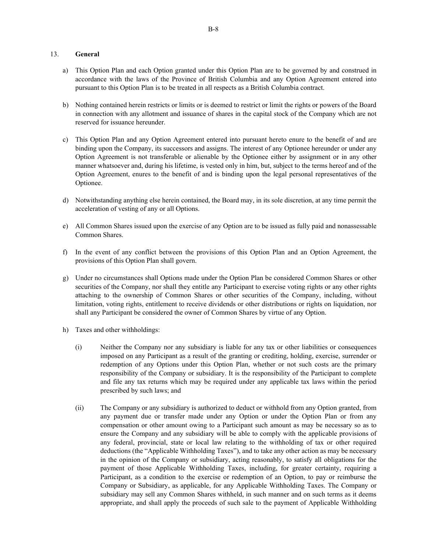# 13. **General**

- a) This Option Plan and each Option granted under this Option Plan are to be governed by and construed in accordance with the laws of the Province of British Columbia and any Option Agreement entered into pursuant to this Option Plan is to be treated in all respects as a British Columbia contract.
- b) Nothing contained herein restricts or limits or is deemed to restrict or limit the rights or powers of the Board in connection with any allotment and issuance of shares in the capital stock of the Company which are not reserved for issuance hereunder.
- c) This Option Plan and any Option Agreement entered into pursuant hereto enure to the benefit of and are binding upon the Company, its successors and assigns. The interest of any Optionee hereunder or under any Option Agreement is not transferable or alienable by the Optionee either by assignment or in any other manner whatsoever and, during his lifetime, is vested only in him, but, subject to the terms hereof and of the Option Agreement, enures to the benefit of and is binding upon the legal personal representatives of the Optionee.
- d) Notwithstanding anything else herein contained, the Board may, in its sole discretion, at any time permit the acceleration of vesting of any or all Options.
- e) All Common Shares issued upon the exercise of any Option are to be issued as fully paid and nonassessable Common Shares.
- f) In the event of any conflict between the provisions of this Option Plan and an Option Agreement, the provisions of this Option Plan shall govern.
- g) Under no circumstances shall Options made under the Option Plan be considered Common Shares or other securities of the Company, nor shall they entitle any Participant to exercise voting rights or any other rights attaching to the ownership of Common Shares or other securities of the Company, including, without limitation, voting rights, entitlement to receive dividends or other distributions or rights on liquidation, nor shall any Participant be considered the owner of Common Shares by virtue of any Option.
- h) Taxes and other withholdings:
	- (i) Neither the Company nor any subsidiary is liable for any tax or other liabilities or consequences imposed on any Participant as a result of the granting or crediting, holding, exercise, surrender or redemption of any Options under this Option Plan, whether or not such costs are the primary responsibility of the Company or subsidiary. It is the responsibility of the Participant to complete and file any tax returns which may be required under any applicable tax laws within the period prescribed by such laws; and
	- (ii) The Company or any subsidiary is authorized to deduct or withhold from any Option granted, from any payment due or transfer made under any Option or under the Option Plan or from any compensation or other amount owing to a Participant such amount as may be necessary so as to ensure the Company and any subsidiary will be able to comply with the applicable provisions of any federal, provincial, state or local law relating to the withholding of tax or other required deductions (the "Applicable Withholding Taxes"), and to take any other action as may be necessary in the opinion of the Company or subsidiary, acting reasonably, to satisfy all obligations for the payment of those Applicable Withholding Taxes, including, for greater certainty, requiring a Participant, as a condition to the exercise or redemption of an Option, to pay or reimburse the Company or Subsidiary, as applicable, for any Applicable Withholding Taxes. The Company or subsidiary may sell any Common Shares withheld, in such manner and on such terms as it deems appropriate, and shall apply the proceeds of such sale to the payment of Applicable Withholding